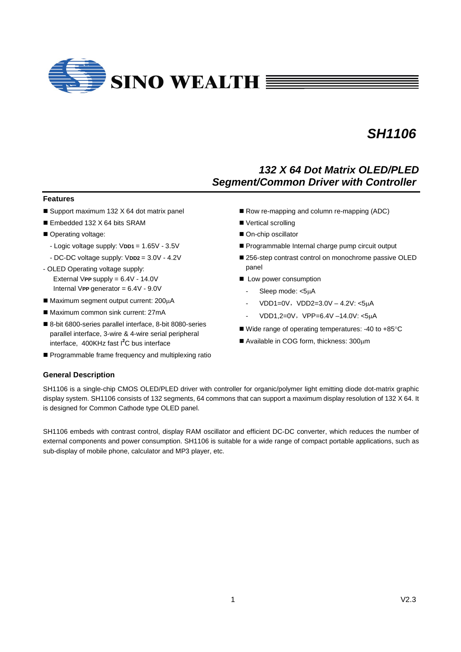

## *132 X 64 Dot Matrix OLED/PLED Segment/Common Driver with Controller*

## **Features**

- Support maximum 132 X 64 dot matrix panel
- Embedded 132 X 64 bits SRAM
- Operating voltage:
	- Logic voltage supply: V**DD1** = 1.65V 3.5V
	- DC-DC voltage supply: V**DD2** = 3.0V 4.2V
- OLED Operating voltage supply: External V**PP** supply = 6.4V - 14.0V Internal V**PP** generator = 6.4V - 9.0V
- $\blacksquare$  Maximum segment output current: 200 $\mu$ A
- Maximum common sink current: 27mA
- 8-bit 6800-series parallel interface, 8-bit 8080-series parallel interface, 3-wire & 4-wire serial peripheral interface, 400KHz fast I**<sup>2</sup>** C bus interface
- **Programmable frame frequency and multiplexing ratio**
- Row re-mapping and column re-mapping (ADC)
- Vertical scrolling
- On-chip oscillator
- Programmable Internal charge pump circuit output
- 256-step contrast control on monochrome passive OLED panel
- **n** Low power consumption
	- Sleep mode: <5µA
	- $VDD1=0V$ ,  $VDD2=3.0V 4.2V$ : <5µA
	- VDD1,2=0V, VPP=6.4V -14.0V: <5µA
- $\blacksquare$  Wide range of operating temperatures: -40 to +85 $\degree$ C
- $\blacksquare$  Available in COG form, thickness: 300 $\mu$ m

## **General Description**

SH1106 is a single-chip CMOS OLED/PLED driver with controller for organic/polymer light emitting diode dot-matrix graphic display system. SH1106 consists of 132 segments, 64 commons that can support a maximum display resolution of 132 X 64. It is designed for Common Cathode type OLED panel.

SH1106 embeds with contrast control, display RAM oscillator and efficient DC-DC converter, which reduces the number of external components and power consumption. SH1106 is suitable for a wide range of compact portable applications, such as sub-display of mobile phone, calculator and MP3 player, etc.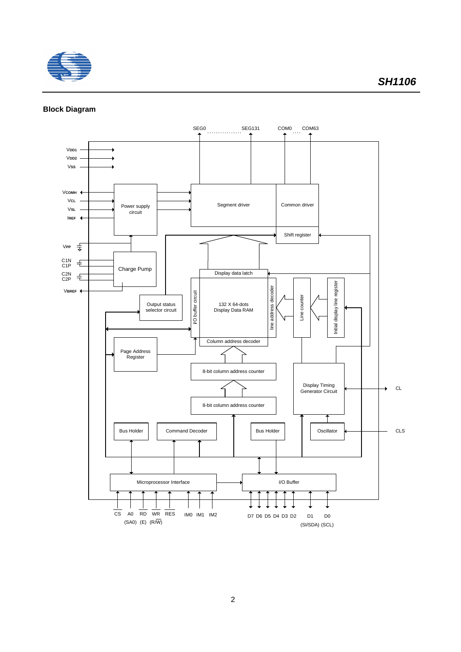

## **Block Diagram**

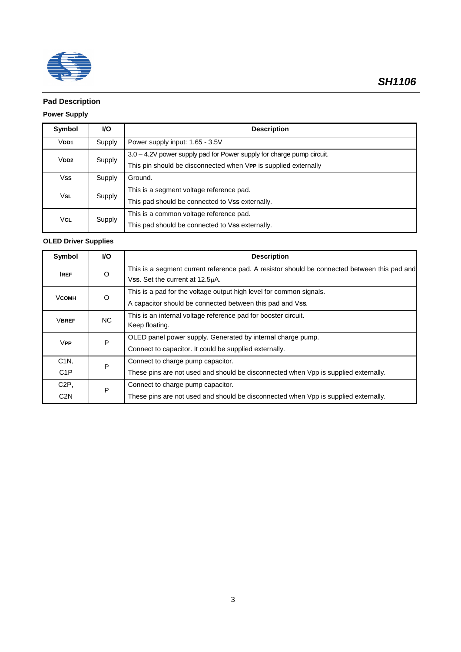

## **Pad Description**

## **Power Supply**

| Symbol           | VO.    | <b>Description</b>                                                    |
|------------------|--------|-----------------------------------------------------------------------|
| V <sub>DD1</sub> | Supply | Power supply input: 1.65 - 3.5V                                       |
| $V$ DD2          | Supply | 3.0 - 4.2V power supply pad for Power supply for charge pump circuit. |
|                  |        | This pin should be disconnected when VPP is supplied externally       |
| <b>Vss</b>       | Supply | Ground.                                                               |
| VsL              |        | This is a segment voltage reference pad.                              |
|                  | Supply | This pad should be connected to Vss externally.                       |
| <b>VCL</b>       |        | This is a common voltage reference pad.                               |
|                  | Supply | This pad should be connected to Vss externally.                       |

## **OLED Driver Supplies**

| Symbol                        | VO.     | <b>Description</b>                                                                           |
|-------------------------------|---------|----------------------------------------------------------------------------------------------|
| <b>IREF</b>                   | $\circ$ | This is a segment current reference pad. A resistor should be connected between this pad and |
|                               |         | Vss. Set the current at 12.5µA.                                                              |
| ∨сомн                         | O       | This is a pad for the voltage output high level for common signals.                          |
|                               |         | A capacitor should be connected between this pad and Vss.                                    |
| <b>VBREF</b>                  | NC.     | This is an internal voltage reference pad for booster circuit.                               |
|                               |         | Keep floating.                                                                               |
| <b>VPP</b>                    | P       | OLED panel power supply. Generated by internal charge pump.                                  |
|                               |         | Connect to capacitor. It could be supplied externally.                                       |
| C <sub>1</sub> N <sub>,</sub> | P       | Connect to charge pump capacitor.                                                            |
| C <sub>1</sub> P              |         | These pins are not used and should be disconnected when Vpp is supplied externally.          |
| C <sub>2</sub> P.             | P       | Connect to charge pump capacitor.                                                            |
| C <sub>2</sub> N              |         | These pins are not used and should be disconnected when Vpp is supplied externally.          |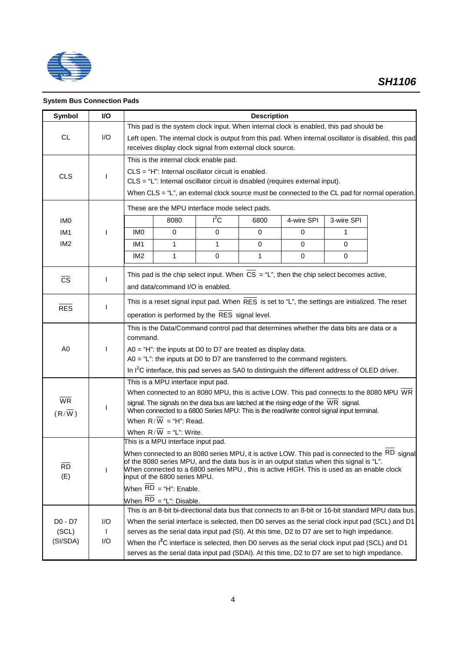

## **System Bus Connection Pads**

| <b>Symbol</b>          | VO.                 |                                                                                            |                                                                                                                                                                                                                                                                                                                                                                                                                                                                                                                                                                                                                                                                                                                                                                                                                                                                                                                                                                                                                                                                                                                                                                                                                                                                                                                                                                                                                                                                                                                                                                                                                                                                                                                          |  | <b>Description</b> |                                                                                                                                                                                                             |  |                                                                                                               |  |  |  |  |
|------------------------|---------------------|--------------------------------------------------------------------------------------------|--------------------------------------------------------------------------------------------------------------------------------------------------------------------------------------------------------------------------------------------------------------------------------------------------------------------------------------------------------------------------------------------------------------------------------------------------------------------------------------------------------------------------------------------------------------------------------------------------------------------------------------------------------------------------------------------------------------------------------------------------------------------------------------------------------------------------------------------------------------------------------------------------------------------------------------------------------------------------------------------------------------------------------------------------------------------------------------------------------------------------------------------------------------------------------------------------------------------------------------------------------------------------------------------------------------------------------------------------------------------------------------------------------------------------------------------------------------------------------------------------------------------------------------------------------------------------------------------------------------------------------------------------------------------------------------------------------------------------|--|--------------------|-------------------------------------------------------------------------------------------------------------------------------------------------------------------------------------------------------------|--|---------------------------------------------------------------------------------------------------------------|--|--|--|--|
|                        |                     |                                                                                            |                                                                                                                                                                                                                                                                                                                                                                                                                                                                                                                                                                                                                                                                                                                                                                                                                                                                                                                                                                                                                                                                                                                                                                                                                                                                                                                                                                                                                                                                                                                                                                                                                                                                                                                          |  |                    |                                                                                                                                                                                                             |  |                                                                                                               |  |  |  |  |
| <b>CL</b>              | 1/O                 |                                                                                            | This pad is the system clock input. When internal clock is enabled, this pad should be<br>Left open. The internal clock is output from this pad. When internal oscillator is disabled, this pad<br>receives display clock signal from external clock source.<br>This is the internal clock enable pad.<br>$CLS = "H":$ Internal oscillator circuit is enabled.<br>CLS = "L": Internal oscillator circuit is disabled (requires external input).<br>When CLS = "L", an external clock source must be connected to the CL pad for normal operation.<br>$I^2C$<br>8080<br>4-wire SPI<br>3-wire SPI<br>6800<br>IM <sub>0</sub><br>0<br>$\Omega$<br>$\Omega$<br>$\Omega$<br>1<br>IM <sub>1</sub><br>$\mathbf{1}$<br>$\mathbf{1}$<br>$\Omega$<br>0<br>$\Omega$<br>IM <sub>2</sub><br>1<br>0<br>1<br>0<br>0<br>This pad is the chip select input. When $CS = "L"$ , then the chip select becomes active,<br>and data/command I/O is enabled.<br>This is a reset signal input pad. When RES is set to "L", the settings are initialized. The reset<br>operation is performed by the RES signal level.<br>This is the Data/Command control pad that determines whether the data bits are data or a<br>$AO = "L":$ the inputs at D0 to D7 are transferred to the command registers.<br>In I <sup>2</sup> C interface, this pad serves as SA0 to distinguish the different address of OLED driver.<br>This is a MPU interface input pad.<br>When connected to an 8080 MPU, this is active LOW. This pad connects to the 8080 MPU WR<br>signal. The signals on the data bus are latched at the rising edge of the WR signal.<br>When $R/\overline{W}$ = "H": Read.<br>When $R/W = "L": Write.$<br>This is a MPU interface input pad. |  |                    |                                                                                                                                                                                                             |  |                                                                                                               |  |  |  |  |
|                        |                     |                                                                                            |                                                                                                                                                                                                                                                                                                                                                                                                                                                                                                                                                                                                                                                                                                                                                                                                                                                                                                                                                                                                                                                                                                                                                                                                                                                                                                                                                                                                                                                                                                                                                                                                                                                                                                                          |  |                    |                                                                                                                                                                                                             |  |                                                                                                               |  |  |  |  |
|                        |                     |                                                                                            |                                                                                                                                                                                                                                                                                                                                                                                                                                                                                                                                                                                                                                                                                                                                                                                                                                                                                                                                                                                                                                                                                                                                                                                                                                                                                                                                                                                                                                                                                                                                                                                                                                                                                                                          |  |                    |                                                                                                                                                                                                             |  |                                                                                                               |  |  |  |  |
| <b>CLS</b>             |                     |                                                                                            |                                                                                                                                                                                                                                                                                                                                                                                                                                                                                                                                                                                                                                                                                                                                                                                                                                                                                                                                                                                                                                                                                                                                                                                                                                                                                                                                                                                                                                                                                                                                                                                                                                                                                                                          |  |                    |                                                                                                                                                                                                             |  |                                                                                                               |  |  |  |  |
|                        |                     |                                                                                            |                                                                                                                                                                                                                                                                                                                                                                                                                                                                                                                                                                                                                                                                                                                                                                                                                                                                                                                                                                                                                                                                                                                                                                                                                                                                                                                                                                                                                                                                                                                                                                                                                                                                                                                          |  |                    |                                                                                                                                                                                                             |  |                                                                                                               |  |  |  |  |
|                        |                     |                                                                                            | These are the MPU interface mode select pads.                                                                                                                                                                                                                                                                                                                                                                                                                                                                                                                                                                                                                                                                                                                                                                                                                                                                                                                                                                                                                                                                                                                                                                                                                                                                                                                                                                                                                                                                                                                                                                                                                                                                            |  |                    |                                                                                                                                                                                                             |  |                                                                                                               |  |  |  |  |
| <b>IMO</b>             |                     |                                                                                            |                                                                                                                                                                                                                                                                                                                                                                                                                                                                                                                                                                                                                                                                                                                                                                                                                                                                                                                                                                                                                                                                                                                                                                                                                                                                                                                                                                                                                                                                                                                                                                                                                                                                                                                          |  |                    |                                                                                                                                                                                                             |  |                                                                                                               |  |  |  |  |
| IM <sub>1</sub>        |                     |                                                                                            |                                                                                                                                                                                                                                                                                                                                                                                                                                                                                                                                                                                                                                                                                                                                                                                                                                                                                                                                                                                                                                                                                                                                                                                                                                                                                                                                                                                                                                                                                                                                                                                                                                                                                                                          |  |                    |                                                                                                                                                                                                             |  |                                                                                                               |  |  |  |  |
| IM <sub>2</sub>        |                     |                                                                                            |                                                                                                                                                                                                                                                                                                                                                                                                                                                                                                                                                                                                                                                                                                                                                                                                                                                                                                                                                                                                                                                                                                                                                                                                                                                                                                                                                                                                                                                                                                                                                                                                                                                                                                                          |  |                    |                                                                                                                                                                                                             |  |                                                                                                               |  |  |  |  |
|                        |                     |                                                                                            |                                                                                                                                                                                                                                                                                                                                                                                                                                                                                                                                                                                                                                                                                                                                                                                                                                                                                                                                                                                                                                                                                                                                                                                                                                                                                                                                                                                                                                                                                                                                                                                                                                                                                                                          |  |                    |                                                                                                                                                                                                             |  |                                                                                                               |  |  |  |  |
|                        |                     |                                                                                            |                                                                                                                                                                                                                                                                                                                                                                                                                                                                                                                                                                                                                                                                                                                                                                                                                                                                                                                                                                                                                                                                                                                                                                                                                                                                                                                                                                                                                                                                                                                                                                                                                                                                                                                          |  |                    |                                                                                                                                                                                                             |  |                                                                                                               |  |  |  |  |
| $\overline{\text{cs}}$ |                     |                                                                                            |                                                                                                                                                                                                                                                                                                                                                                                                                                                                                                                                                                                                                                                                                                                                                                                                                                                                                                                                                                                                                                                                                                                                                                                                                                                                                                                                                                                                                                                                                                                                                                                                                                                                                                                          |  |                    |                                                                                                                                                                                                             |  |                                                                                                               |  |  |  |  |
|                        |                     |                                                                                            |                                                                                                                                                                                                                                                                                                                                                                                                                                                                                                                                                                                                                                                                                                                                                                                                                                                                                                                                                                                                                                                                                                                                                                                                                                                                                                                                                                                                                                                                                                                                                                                                                                                                                                                          |  |                    |                                                                                                                                                                                                             |  |                                                                                                               |  |  |  |  |
| <b>RES</b>             |                     |                                                                                            |                                                                                                                                                                                                                                                                                                                                                                                                                                                                                                                                                                                                                                                                                                                                                                                                                                                                                                                                                                                                                                                                                                                                                                                                                                                                                                                                                                                                                                                                                                                                                                                                                                                                                                                          |  |                    |                                                                                                                                                                                                             |  |                                                                                                               |  |  |  |  |
|                        |                     |                                                                                            |                                                                                                                                                                                                                                                                                                                                                                                                                                                                                                                                                                                                                                                                                                                                                                                                                                                                                                                                                                                                                                                                                                                                                                                                                                                                                                                                                                                                                                                                                                                                                                                                                                                                                                                          |  |                    |                                                                                                                                                                                                             |  |                                                                                                               |  |  |  |  |
|                        |                     |                                                                                            |                                                                                                                                                                                                                                                                                                                                                                                                                                                                                                                                                                                                                                                                                                                                                                                                                                                                                                                                                                                                                                                                                                                                                                                                                                                                                                                                                                                                                                                                                                                                                                                                                                                                                                                          |  |                    |                                                                                                                                                                                                             |  |                                                                                                               |  |  |  |  |
|                        |                     | command.                                                                                   |                                                                                                                                                                                                                                                                                                                                                                                                                                                                                                                                                                                                                                                                                                                                                                                                                                                                                                                                                                                                                                                                                                                                                                                                                                                                                                                                                                                                                                                                                                                                                                                                                                                                                                                          |  |                    |                                                                                                                                                                                                             |  |                                                                                                               |  |  |  |  |
| A <sub>0</sub>         |                     | A0 = "H": the inputs at D0 to D7 are treated as display data.                              |                                                                                                                                                                                                                                                                                                                                                                                                                                                                                                                                                                                                                                                                                                                                                                                                                                                                                                                                                                                                                                                                                                                                                                                                                                                                                                                                                                                                                                                                                                                                                                                                                                                                                                                          |  |                    |                                                                                                                                                                                                             |  |                                                                                                               |  |  |  |  |
|                        |                     |                                                                                            |                                                                                                                                                                                                                                                                                                                                                                                                                                                                                                                                                                                                                                                                                                                                                                                                                                                                                                                                                                                                                                                                                                                                                                                                                                                                                                                                                                                                                                                                                                                                                                                                                                                                                                                          |  |                    |                                                                                                                                                                                                             |  |                                                                                                               |  |  |  |  |
|                        |                     |                                                                                            |                                                                                                                                                                                                                                                                                                                                                                                                                                                                                                                                                                                                                                                                                                                                                                                                                                                                                                                                                                                                                                                                                                                                                                                                                                                                                                                                                                                                                                                                                                                                                                                                                                                                                                                          |  |                    |                                                                                                                                                                                                             |  |                                                                                                               |  |  |  |  |
|                        |                     |                                                                                            |                                                                                                                                                                                                                                                                                                                                                                                                                                                                                                                                                                                                                                                                                                                                                                                                                                                                                                                                                                                                                                                                                                                                                                                                                                                                                                                                                                                                                                                                                                                                                                                                                                                                                                                          |  |                    |                                                                                                                                                                                                             |  |                                                                                                               |  |  |  |  |
| <b>WR</b>              |                     |                                                                                            |                                                                                                                                                                                                                                                                                                                                                                                                                                                                                                                                                                                                                                                                                                                                                                                                                                                                                                                                                                                                                                                                                                                                                                                                                                                                                                                                                                                                                                                                                                                                                                                                                                                                                                                          |  |                    |                                                                                                                                                                                                             |  |                                                                                                               |  |  |  |  |
| $(R/\overline{W})$     |                     | When connected to a 6800 Series MPU: This is the read/write control signal input terminal. |                                                                                                                                                                                                                                                                                                                                                                                                                                                                                                                                                                                                                                                                                                                                                                                                                                                                                                                                                                                                                                                                                                                                                                                                                                                                                                                                                                                                                                                                                                                                                                                                                                                                                                                          |  |                    |                                                                                                                                                                                                             |  |                                                                                                               |  |  |  |  |
|                        |                     |                                                                                            |                                                                                                                                                                                                                                                                                                                                                                                                                                                                                                                                                                                                                                                                                                                                                                                                                                                                                                                                                                                                                                                                                                                                                                                                                                                                                                                                                                                                                                                                                                                                                                                                                                                                                                                          |  |                    |                                                                                                                                                                                                             |  |                                                                                                               |  |  |  |  |
|                        |                     |                                                                                            |                                                                                                                                                                                                                                                                                                                                                                                                                                                                                                                                                                                                                                                                                                                                                                                                                                                                                                                                                                                                                                                                                                                                                                                                                                                                                                                                                                                                                                                                                                                                                                                                                                                                                                                          |  |                    |                                                                                                                                                                                                             |  |                                                                                                               |  |  |  |  |
|                        |                     |                                                                                            |                                                                                                                                                                                                                                                                                                                                                                                                                                                                                                                                                                                                                                                                                                                                                                                                                                                                                                                                                                                                                                                                                                                                                                                                                                                                                                                                                                                                                                                                                                                                                                                                                                                                                                                          |  |                    |                                                                                                                                                                                                             |  |                                                                                                               |  |  |  |  |
| <b>RD</b>              |                     |                                                                                            |                                                                                                                                                                                                                                                                                                                                                                                                                                                                                                                                                                                                                                                                                                                                                                                                                                                                                                                                                                                                                                                                                                                                                                                                                                                                                                                                                                                                                                                                                                                                                                                                                                                                                                                          |  |                    | of the 8080 series MPU, and the data bus is in an output status when this signal is "L".<br>When connected to a 6800 series MPU, this is active HIGH. This is used as an enable clock                       |  | When connected to an 8080 series MPU, it is active LOW. This pad is connected to the $\,$ RD $\,$ signal $\,$ |  |  |  |  |
| (E)                    |                     |                                                                                            | input of the 6800 series MPU.                                                                                                                                                                                                                                                                                                                                                                                                                                                                                                                                                                                                                                                                                                                                                                                                                                                                                                                                                                                                                                                                                                                                                                                                                                                                                                                                                                                                                                                                                                                                                                                                                                                                                            |  |                    |                                                                                                                                                                                                             |  |                                                                                                               |  |  |  |  |
|                        |                     |                                                                                            | When $RD = "H":$ Enable.                                                                                                                                                                                                                                                                                                                                                                                                                                                                                                                                                                                                                                                                                                                                                                                                                                                                                                                                                                                                                                                                                                                                                                                                                                                                                                                                                                                                                                                                                                                                                                                                                                                                                                 |  |                    |                                                                                                                                                                                                             |  |                                                                                                               |  |  |  |  |
|                        |                     |                                                                                            | When $RD = "L": Disable.$                                                                                                                                                                                                                                                                                                                                                                                                                                                                                                                                                                                                                                                                                                                                                                                                                                                                                                                                                                                                                                                                                                                                                                                                                                                                                                                                                                                                                                                                                                                                                                                                                                                                                                |  |                    |                                                                                                                                                                                                             |  |                                                                                                               |  |  |  |  |
|                        |                     |                                                                                            |                                                                                                                                                                                                                                                                                                                                                                                                                                                                                                                                                                                                                                                                                                                                                                                                                                                                                                                                                                                                                                                                                                                                                                                                                                                                                                                                                                                                                                                                                                                                                                                                                                                                                                                          |  |                    |                                                                                                                                                                                                             |  | This is an 8-bit bi-directional data bus that connects to an 8-bit or 16-bit standard MPU data bus.           |  |  |  |  |
| $D0 - D7$              | I/O                 |                                                                                            |                                                                                                                                                                                                                                                                                                                                                                                                                                                                                                                                                                                                                                                                                                                                                                                                                                                                                                                                                                                                                                                                                                                                                                                                                                                                                                                                                                                                                                                                                                                                                                                                                                                                                                                          |  |                    |                                                                                                                                                                                                             |  | When the serial interface is selected, then D0 serves as the serial clock input pad (SCL) and D1              |  |  |  |  |
| (SCL)<br>(SI/SDA)      | $\mathbf{I}$<br>I/O |                                                                                            |                                                                                                                                                                                                                                                                                                                                                                                                                                                                                                                                                                                                                                                                                                                                                                                                                                                                                                                                                                                                                                                                                                                                                                                                                                                                                                                                                                                                                                                                                                                                                                                                                                                                                                                          |  |                    | serves as the serial data input pad (SI). At this time, D2 to D7 are set to high impedance.                                                                                                                 |  |                                                                                                               |  |  |  |  |
|                        |                     |                                                                                            |                                                                                                                                                                                                                                                                                                                                                                                                                                                                                                                                                                                                                                                                                                                                                                                                                                                                                                                                                                                                                                                                                                                                                                                                                                                                                                                                                                                                                                                                                                                                                                                                                                                                                                                          |  |                    | When the I <sup>2</sup> C interface is selected, then D0 serves as the serial clock input pad (SCL) and D1<br>serves as the serial data input pad (SDAI). At this time, D2 to D7 are set to high impedance. |  |                                                                                                               |  |  |  |  |
|                        |                     |                                                                                            |                                                                                                                                                                                                                                                                                                                                                                                                                                                                                                                                                                                                                                                                                                                                                                                                                                                                                                                                                                                                                                                                                                                                                                                                                                                                                                                                                                                                                                                                                                                                                                                                                                                                                                                          |  |                    |                                                                                                                                                                                                             |  |                                                                                                               |  |  |  |  |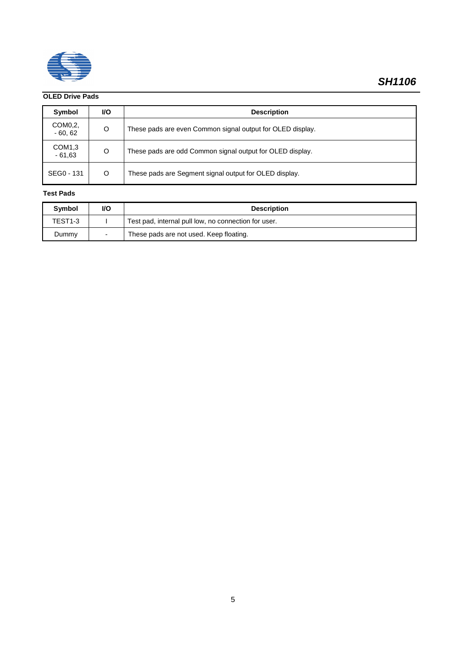

## **OLED Drive Pads**

| Symbol                         | <b>VO</b> | <b>Description</b>                                         |
|--------------------------------|-----------|------------------------------------------------------------|
| COM0.2.<br>$-60,62$            | O         | These pads are even Common signal output for OLED display. |
| COM <sub>1,3</sub><br>$-61,63$ | O         | These pads are odd Common signal output for OLED display.  |
| SEG0 - 131                     | O         | These pads are Segment signal output for OLED display.     |

### **Test Pads**

| Symbol  | <b>VO</b> | <b>Description</b>                                   |
|---------|-----------|------------------------------------------------------|
| TEST1-3 |           | Test pad, internal pull low, no connection for user. |
| Dummy   |           | These pads are not used. Keep floating.              |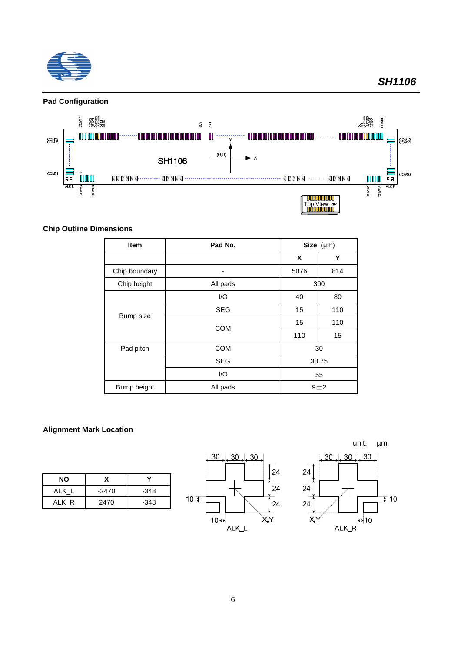



## **Chip Outline Dimensions**

| <b>Item</b>                   | Pad No.    |      | Size $(\mu m)$ |  |
|-------------------------------|------------|------|----------------|--|
|                               |            | X    | Y              |  |
| Chip boundary                 |            | 5076 | 814            |  |
| Chip height                   | All pads   | 300  |                |  |
|                               | 1/O        | 40   | 80             |  |
|                               | <b>SEG</b> | 15   | 110            |  |
| <b>Bump size</b><br>Pad pitch | <b>COM</b> | 15   | 110            |  |
|                               |            | 110  | 15             |  |
|                               | <b>COM</b> |      | 30             |  |
|                               | <b>SEG</b> |      | 30.75          |  |
|                               | 1/O        | 55   |                |  |
| Bump height                   | All pads   |      | $9+2$          |  |

## **Alignment Mark Location**

| <b>NO</b> | x       |        |
|-----------|---------|--------|
| ALK L     | $-2470$ | $-348$ |
| ALK R     | 2470    | $-348$ |



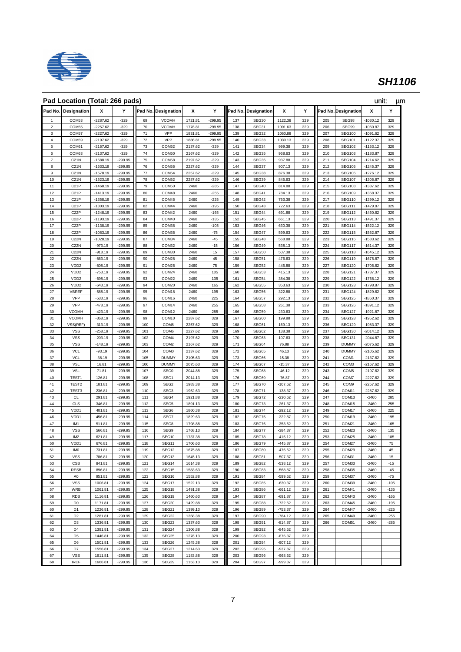

|                         | Pad Location (Total: 266 pads)         |                          |                        |            |                            |                    |                  |            |                     |                        |            |            |                                | unit:                    | μm            |
|-------------------------|----------------------------------------|--------------------------|------------------------|------------|----------------------------|--------------------|------------------|------------|---------------------|------------------------|------------|------------|--------------------------------|--------------------------|---------------|
| Pad No.                 | Designation                            | x                        | Y                      |            | Pad No. Designation        | x                  | Y                |            | Pad No. Designation | x                      | Y          |            | Pad No. Designation            | x                        | Y             |
| 1                       | COM <sub>53</sub>                      | $-2287.62$               | $-329$                 | 69         | <b>VCOMH</b>               | 1721.81            | $-299.95$        | 137        | SEG30               | 1122.38                | 329        | 205        | SEG98                          | $-1030.12$               | 329           |
| $\mathbf 2$             | COM55                                  | -2257.62                 | $-329$                 | 70         | <b>VCOMH</b>               | 1776.81            | $-299.95$        | 138        | SEG31               | 1091.63                | 329        | 206        | SEG99                          | $-1060.87$               | 329           |
| 3                       | COM <sub>57</sub>                      | -2227.62                 | $-329$                 | 71         | VPP                        | 1831.81            | $-299.95$        | 139        | SEG32               | 1060.88                | 329        | 207        | <b>SEG100</b>                  | -1091.62                 | 329           |
| $\overline{\mathbf{4}}$ | COM59                                  | $-2197.62$               | $-329$                 | 72         | VPP                        | 1886.81            | $-299.95$        | 140        | SEG33               | 1030.13                | 329        | 208        | <b>SEG101</b>                  | $-1122.37$               | 329           |
| 5<br>6                  | COM61<br>COM63                         | $-2167.62$<br>$-2137.62$ | $-329$<br>$-329$       | 73<br>74   | COM62<br>COM60             | 2137.62<br>2167.62 | $-329$<br>$-329$ | 141<br>142 | SEG34<br>SEG35      | 999.38<br>968.63       | 329<br>329 | 209<br>210 | <b>SEG102</b><br><b>SEG103</b> | $-1153.12$<br>$-1183.87$ | 329<br>329    |
| $\overline{\mathbf{7}}$ | C21N                                   | $-1688.19$               | -299.95                | 75         | COM58                      | 2197.62            | $-329$           | 143        | SEG36               | 937.88                 | 329        | 211        | <b>SEG104</b>                  | $-1214.62$               | 329           |
| 8                       | C21N                                   | $-1633.19$               | $-299.95$              | 76         | COM56                      | 2227.62            | $-329$           | 144        | SEG37               | 907.13                 | 329        | 212        | <b>SEG105</b>                  | -1245.37                 | 329           |
| 9                       | C21N                                   | $-1578.19$               | $-299.95$              | 77         | COM54                      | 2257.62            | $-329$           | 145        | SEG38               | 876.38                 | 329        | 213        | <b>SEG106</b>                  | $-1276.12$               | 329           |
| $10$                    | C21N                                   | $-1523.19$               | $-299.95$              | 78         | COM <sub>52</sub>          | 2287.62            | $-329$           | 146        | SEG39               | 845.63                 | 329        | 214        | <b>SEG107</b>                  | $-1306.87$               | 329           |
| 11                      | C <sub>21</sub> P                      | $-1468.19$               | $-299.95$<br>$-299.95$ | 79         | COM50<br>COM48             | 2460<br>2460       | $-285$           | 147        | SEG40               | 814.88                 | 329        | 215        | <b>SEG108</b>                  | -1337.62                 | 329<br>329    |
| 12<br>13                | C <sub>21</sub> P<br>C <sub>21</sub> P | $-1413.19$<br>$-1358.19$ | $-299.95$              | 80<br>81   | COM46                      | 2460               | $-255$<br>-225   | 148<br>149 | SEG41<br>SEG42      | 784.13<br>753.38       | 329<br>329 | 216<br>217 | <b>SEG109</b><br><b>SEG110</b> | -1368.37<br>1399.12      | 329           |
| 14                      | C <sub>21</sub> P                      | $-1303.19$               | $-299.95$              | 82         | COM44                      | 2460               | $-195$           | 150        | SEG43               | 722.63                 | 329        | 218        | <b>SEG111</b>                  | 1429.87                  | 329           |
| 15                      | C <sub>2</sub> 2P                      | $-1248.19$               | $-299.95$              | 83         | COM42                      | 2460               | $-165$           | 151        | SEG44               | 691.88                 | 329        | 219        | <b>SEG112</b>                  | 1460.62                  | 329           |
| 16                      | C <sub>2</sub> 2P                      | $-1193.19$               | $-299.95$              | 84         | COM40                      | 2460               | $-135$           | 152        | SEG45               | 661.13                 | 329        | 220        | <b>SEG113</b>                  | $-1491.37$               | 329           |
| 17                      | C <sub>2</sub> 2P                      | $-1138.19$               | -299.95                | 85         | COM38                      | 2460               | $-105$           | 153        | SEG46               | 630.38                 | 329        | 221        | <b>SEG114</b>                  | $-1522.12$               | 329           |
| 18                      | C <sub>2</sub> 2P                      | $-1083.19$               | $-299.95$              | 86         | COM36                      | 2460               | $-75$            | 154        | SEG47               | 599.63                 | 329        | 222        | <b>SEG115</b>                  | $-1552.87$               | 329           |
| 19<br>20                | C <sub>2</sub> 2N<br>C <sub>2</sub> 2N | $-1028.19$<br>$-973.19$  | $-299.95$<br>-299.95   | 87<br>88   | COM34<br>COM32             | 2460<br>2460       | $-45$<br>$-15$   | 155<br>156 | SEG48<br>SEG49      | 568.88<br>538.13       | 329<br>329 | 223<br>224 | <b>SEG116</b><br><b>SEG117</b> | -1583.62<br>-1614.37     | 329<br>329    |
| 21                      | C <sub>2</sub> 2N                      | $-918.19$                | $-299.95$              | 89         | COM30                      | 2460               | 15               | 157        | SEG50               | 507.38                 | 329        | 225        | <b>SEG118</b>                  | $-1645.12$               | 329           |
| 22                      | C <sub>2</sub> 2N                      | $-863.19$                | $-299.95$              | 90         | COM28                      | 2460               | 45               | 158        | SEG51               | 476.63                 | 329        | 226        | <b>SEG119</b>                  | -1675.87                 | 329           |
| 23                      | VDD <sub>2</sub>                       | $-808.19$                | $-299.95$              | 91         | COM26                      | 2460               | 75               | 159        | SEG52               | 445.88                 | 329        | 227        | <b>SEG120</b>                  | -1706.62                 | 329           |
| 24                      | VDD <sub>2</sub>                       | $-753.19$                | $-299.95$              | 92         | COM24                      | 2460               | 105              | 160        | SEG53               | 415.13                 | 329        | 228        | <b>SEG121</b>                  | -1737.37                 | 329           |
| 25                      | VDD <sub>2</sub>                       | $-698.19$                | $-299.95$              | 93         | COM22                      | 2460               | 135              | 161        | SEG54               | 384.38                 | 329        | 229        | <b>SEG122</b>                  | $-1768.12$               | 329           |
| 26<br>27                | VDD <sub>2</sub><br>VBREF              | $-643.19$<br>$-588.19$   | $-299.95$<br>$-299.95$ | 94<br>95   | COM20<br>COM <sub>18</sub> | 2460<br>2460       | 165<br>195       | 162<br>163 | SEG55<br>SEG56      | 353.63<br>322.88       | 329<br>329 | 230<br>231 | <b>SEG123</b><br><b>SEG124</b> | 1798.87<br>1829.62       | 329<br>329    |
| 28                      | VPP                                    | $-533.19$                | $-299.95$              | 96         | COM16                      | 2460               | 225              | 164        | SEG57               | 292.13                 | 329        | 232        | <b>SEG125</b>                  | $-1860.37$               | 329           |
| 29                      | VPP                                    | $-478.19$                | $-299.95$              | 97         | COM14                      | 2460               | 255              | 165        | SEG58               | 261.38                 | 329        | 233        | <b>SEG126</b>                  | -1891.12                 | 329           |
| 30                      | <b>VCOMH</b>                           | $-423.19$                | $-299.95$              | 98         | COM12                      | 2460               | 285              | 166        | SEG59               | 230.63                 | 329        | 234        | <b>SEG127</b>                  | -1921.87                 | 329           |
| 31                      | <b>VCOMH</b>                           | $-368.19$                | $-299.95$              | 99         | COM10                      | 2287.62            | 329              | 167        | SEG60               | 199.88                 | 329        | 235        | <b>SEG128</b>                  | -1952.62                 | 329           |
| 32                      | VSS(REF)                               | $-313.19$                | $-299.95$              | 100        | COM8                       | 2257.62            | 329              | 168        | SEG61               | 169.13                 | 329        | 236        | <b>SEG129</b>                  | -1983.37                 | 329           |
| 33<br>34                | <b>VSS</b><br><b>VSS</b>               | $-258.19$<br>$-203.19$   | $-299.95$<br>$-299.95$ | 101<br>102 | COM <sub>6</sub><br>COM4   | 2227.62<br>2197.62 | 329<br>329       | 169<br>170 | SEG62<br>SEG63      | 138.38<br>107.63       | 329<br>329 | 237<br>238 | <b>SEG130</b><br><b>SEG131</b> | -2014.12<br>$-2044.87$   | 329<br>329    |
| 35                      | <b>VSS</b>                             | $-148.19$                | $-299.95$              | 103        | COM <sub>2</sub>           | 2167.62            | 329              | 171        | SEG64               | 76.88                  | 329        | 239        | <b>DUMMY</b>                   | -2075.62                 | 329           |
| 36                      | <b>VCL</b>                             | $-93.19$                 | $-299.95$              | 104        | COM <sub>0</sub>           | 2137.62            | 329              | 172        | SEG65               | 46.13                  | 329        | 240        | <b>DUMMY</b>                   | -2105.62                 | 329           |
| 37                      | VCL                                    | $-38.19$                 | $-299.95$              | 105        | <b>DUMMY</b>               | 2105.63            | 329              | 173        | SEG66               | 15.38                  | 329        | 241        | COM1                           | -2137.62                 | 329           |
| 38                      | <b>VSL</b>                             | 16.81                    | $-299.95$              | 106        | <b>DUMMY</b>               | 2075.63            | 329              | 174        | SEG67               | $-15.37$               | 329        | 242        | COM3                           | -2167.62                 | 329           |
| 39                      | <b>VSL</b>                             | 71.81                    | $-299.95$              | 107        | SEG <sub>0</sub>           | 2044.88            | 329              | 175        | SEG68               | $-46.12$               | 329        | 243        | COM <sub>5</sub>               | 2197.62                  | 329           |
| 40<br>41                | TEST <sub>1</sub><br>TEST <sub>2</sub> | 126.81<br>181.81         | $-299.95$<br>$-299.95$ | 108<br>109 | SEG1<br>SEG <sub>2</sub>   | 2014.13<br>1983.38 | 329<br>329       | 176<br>177 | SEG69<br>SEG70      | $-76.87$<br>$-107.62$  | 329<br>329 | 244<br>245 | COM7<br>COM9                   | $-2227.62$<br>-2257.62   | 329<br>329    |
| 42                      | TEST3                                  | 236.81                   | $-299.95$              | 110        | SEG3                       | 1952.63            | 329              | 178        | SEG71               | $-138.37$              | 329        | 246        | COM11                          | 2287.62                  | 329           |
| 43                      | CL                                     | 291.81                   | $-299.95$              | 111        | SEG4                       | 1921.88            | 329              | 179        | SEG72               | $-230.62$              | 329        | 247        | COM <sub>13</sub>              | $-2460$                  | 285           |
| 44                      | <b>CLS</b>                             | 346.81                   | -299.95                | 112        | SEG5                       | 1891.13            | 329              | 180        | SEG73               | $-261.37$              | 329        | 248        | COM <sub>15</sub>              | $-2460$                  | 255           |
| 45                      | VDD1                                   | 401.81                   | $-299.95$              | 113        | SEG6                       | 1860.38            | 329              | 181        | SEG74               | $-292.12$              | 329        | 249        | COM17                          | $-2460$                  | 225           |
| 46                      | VDD1                                   | 456.81                   | -299.95                | 114        | SEG7                       | 1829.63            | 329              | 182        | SEG75               | $-322.87$              | 329        | 250        | COM19                          | $-2460$                  | 195           |
| 47<br>48                | IM1<br><b>VSS</b>                      | 511.81<br>566.81         | $-299.95$<br>$-299.95$ | 115<br>116 | SEG8<br>SEG9               | 1798.88<br>1768.13 | 329<br>329       | 183<br>184 | SEG76<br>SEG77      | $-353.62$<br>$-384.37$ | 329<br>329 | 251<br>252 | COM21<br>COM23                 | $-2460$<br>$-2460$       | 165<br>135    |
| 49                      | IM <sub>2</sub>                        | 621.81                   | -299.95                | 117        | SEG10                      | 1737.38            | 329              | 185        | SEG78               | $-415.12$              | 329        | 253        | COM25                          | $-2460$                  | 105           |
| 50                      | VDD1                                   | 676.81                   | -299.95                | 118        | SEG11                      | 1706.63            | 329              | 186        | SEG/9               | -445.87                | 329        | 254        | COM <sub>2</sub>               | -2460                    | $\frac{1}{2}$ |
| 51                      | <b>IMO</b>                             | 731.81                   | $-299.95$              | 119        | SEG <sub>12</sub>          | 1675.88            | 329              | 187        | SEG80               | $-476.62$              | 329        | 255        | COM29                          | $-2460$                  | 45            |
| 52                      | <b>VSS</b>                             | 786.81                   | $-299.95$              | 120        | SEG13                      | 1645.13            | 329              | 188        | SEG81               | $-507.37$              | 329        | 256        | COM31                          | $-2460$                  | 15            |
| 53                      | <b>CSB</b>                             | 841.81                   | $-299.95$              | 121        | SEG14                      | 1614.38            | 329              | 189        | SEG82               | $-538.12$              | 329        | 257        | COM33                          | $-2460$                  | $-15$         |
| 54<br>55                | <b>RESB</b><br>A <sub>0</sub>          | 896.81<br>951.81         | $-299.95$<br>$-299.95$ | 122<br>123 | SEG15<br>SEG16             | 1583.63<br>1552.88 | 329<br>329       | 190<br>191 | SEG83<br>SEG84      | $-568.87$<br>$-599.62$ | 329<br>329 | 258<br>259 | COM35<br>COM37                 | $-2460$<br>$-2460$       | $-45$<br>-75  |
| 56                      | <b>VSS</b>                             | 1006.81                  | $-299.95$              | 124        | SEG17                      | 1522.13            | 329              | 192        | SEG85               | $-630.37$              | 329        | 260        | COM39                          | $-2460$                  | $-105$        |
| 57                      | <b>WRB</b>                             | 1061.81                  | $-299.95$              | 125        | SEG18                      | 1491.38            | 329              | 193        | SEG86               | $-661.12$              | 329        | 261        | COM41                          | $-2460$                  | $-135$        |
| 58                      | <b>RDB</b>                             | 1116.81                  | $-299.95$              | 126        | SEG19                      | 1460.63            | 329              | 194        | SEG87               | $-691.87$              | 329        | 262        | COM43                          | $-2460$                  | $-165$        |
| 59                      | D <sub>0</sub>                         | 1171.81                  | $-299.95$              | 127        | SEG20                      | 1429.88            | 329              | 195        | SEG88               | $-722.62$              | 329        | 263        | COM45                          | $-2460$                  | $-195$        |
| 60                      | D <sub>1</sub>                         | 1226.81                  | $-299.95$              | 128        | SEG21                      | 1399.13            | 329              | 196        | SEG89               | $-753.37$              | 329        | 264        | COM47                          | $-2460$                  | $-225$        |
| 61                      | D <sub>2</sub>                         | 1281.81                  | $-299.95$              | 129        | SEG22                      | 1368.38            | 329              | 197        | SEG90               | $-784.12$              | 329        | 265        | COM49                          | $-2460$                  | $-255$        |
| 62<br>63                | D <sub>3</sub><br>D <sub>4</sub>       | 1336.81<br>1391.81       | $-299.95$<br>$-299.95$ | 130<br>131 | SEG23<br>SEG24             | 1337.63<br>1306.88 | 329<br>329       | 198<br>199 | SEG91<br>SEG92      | $-814.87$<br>$-845.62$ | 329<br>329 | 266        | COM51                          | $-2460$                  | $-285$        |
| 64                      | D <sub>5</sub>                         | 1446.81                  | $-299.95$              | 132        | SEG25                      | 1276.13            | 329              | 200        | SEG93               | $-876.37$              | 329        |            |                                |                          |               |
| 65                      | D <sub>6</sub>                         | 1501.81                  | $-299.95$              | 133        | SEG26                      | 1245.38            | 329              | 201        | SEG94               | $-907.12$              | 329        |            |                                |                          |               |
| 66                      | D7                                     | 1556.81                  | $-299.95$              | 134        | SEG27                      | 1214.63            | 329              | 202        | SEG95               | $-937.87$              | 329        |            |                                |                          |               |
| 67                      | <b>VSS</b>                             | 1611.81                  | $-299.95$              | 135        | SEG28                      | 1183.88            | 329              | 203        | SEG96               | $-968.62$              | 329        |            |                                |                          |               |
| 68                      | <b>IREF</b>                            | 1666.81                  | $-299.95$              | 136        | SEG29                      | 1153.13            | 329              | 204        | SEG97               | $-999.37$              | 329        |            |                                |                          |               |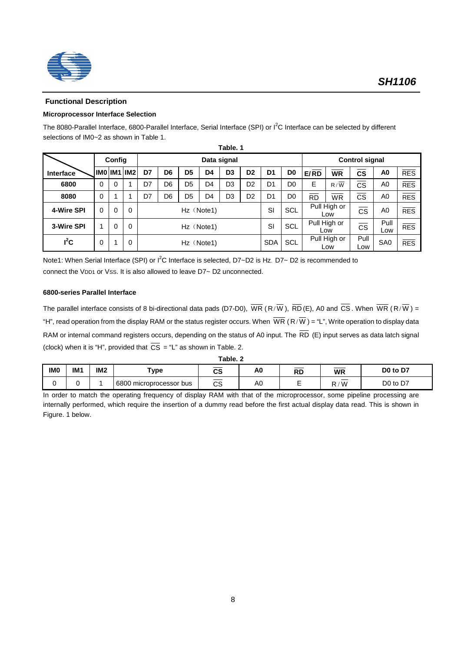

## **Functional Description**

### **Microprocessor Interface Selection**

The 8080-Parallel Interface, 6800-Parallel Interface, Serial Interface (SPI) or  $I^2C$  Interface can be selected by different selections of IM0~2 as shown in Table 1.

|            | Table, 1 |                       |                    |    |                |                |                |                |                |                |                |           |                     |                        |                 |            |
|------------|----------|-----------------------|--------------------|----|----------------|----------------|----------------|----------------|----------------|----------------|----------------|-----------|---------------------|------------------------|-----------------|------------|
|            |          | Config<br>Data signal |                    |    |                |                |                |                |                |                |                |           |                     | <b>Control signal</b>  |                 |            |
| Interface  |          |                       | <b>IMO IM1 IM2</b> | D7 | D <sub>6</sub> | D <sub>5</sub> | D4             | D <sub>3</sub> | D <sub>2</sub> | D <sub>1</sub> | D <sub>0</sub> | E/RD      | <b>WR</b>           | CS                     | A <sub>0</sub>  | RES        |
| 6800       | $\Omega$ | $\Omega$              |                    | D7 | D6             | D <sub>5</sub> | D <sub>4</sub> | D <sub>3</sub> | D <sub>2</sub> | D <sub>1</sub> | D <sub>0</sub> | Е         | R/W                 | <b>CS</b>              | A0              | RES        |
| 8080       | $\Omega$ |                       |                    | D7 | D6             | D <sub>5</sub> | D <sub>4</sub> | D <sub>3</sub> | D <sub>2</sub> | D <sub>1</sub> | D <sub>0</sub> | <b>RD</b> | <b>WR</b>           | <b>CS</b>              | A <sub>0</sub>  | <b>RES</b> |
| 4-Wire SPI | $\Omega$ | $\Omega$              | $\Omega$           |    |                |                | Hz (Note1)     |                |                | SI             | SCL            |           | Pull High or<br>Low | $\overline{\text{cs}}$ | A0              | <b>RES</b> |
| 3-Wire SPI |          | $\Omega$              | $\Omega$           |    | Hz (Note1)     |                |                |                |                | SI             | SCL            |           | Pull High or<br>Low | $\overline{\text{cs}}$ | Pull<br>Low     | <b>RES</b> |
| $I^2C$     | 0        |                       | $\Omega$           |    |                |                | Hz (Note1)     |                |                | <b>SDA</b>     | SCL            |           | Pull High or<br>Low | Pull<br>Low            | SA <sub>0</sub> | RES        |

Note1: When Serial Interface (SPI) or I<sup>2</sup>C Interface is selected, D7~D2 is Hz. D7~ D2 is recommended to connect the VDD1 or Vss. It is also allowed to leave D7~ D2 unconnected.

#### **6800-series Parallel Interface**

The parallel interface consists of 8 bi-directional data pads (D7-D0),  $\overline{WR}$  (R/ $\overline{W}$ ),  $\overline{RD}$  (E), A0 and  $\overline{CS}$ . When  $\overline{WR}$  (R/ $\overline{W}$ ) = "H", read operation from the display RAM or the status register occurs. When  $\overline{WR}$  (R/ $\overline{W}$ ) = "L", Write operation to display data RAM or internal command registers occurs, depending on the status of A0 input. The  $\overline{RD}$  (E) input serves as data latch signal (clock) when it is "H", provided that  $\overline{CS}$  = "L" as shown in Table. 2.

| <b>IMO</b> | IM <sub>1</sub> | IM2 | $\mathsf{v}$ pe            | r.<br>vc       | A0 | <b>Dr</b><br>πL | <b>WR</b>                            | D0 to D7                         |
|------------|-----------------|-----|----------------------------|----------------|----|-----------------|--------------------------------------|----------------------------------|
|            |                 |     | 6800<br>microprocessor bus | __<br>∩∩<br>vo | AU | -               | $\overline{\phantom{a}}$<br>′ W<br>D | D <sub>0</sub> to D <sub>7</sub> |

In order to match the operating frequency of display RAM with that of the microprocessor, some pipeline processing are internally performed, which require the insertion of a dummy read before the first actual display data read. This is shown in Figure. 1 below.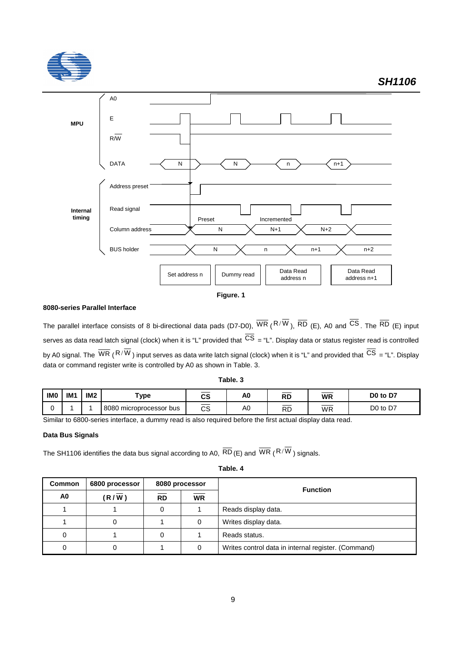

**Figure. 1**

### **8080-series Parallel Interface**

The parallel interface consists of 8 bi-directional data pads (D7-D0),  $\overline{WR}$  (R/ $\overline{W}$ ),  $\overline{RD}$  (E), A0 and  $\overline{CS}$ . The  $\overline{RD}$  (E) input serves as data read latch signal (clock) when it is "L" provided that  $\overline{CS}$  = "L". Display data or status register read is controlled by A0 signal. The  $\overline{WR}$  ( $R/\overline{W}$ ) input serves as data write latch signal (clock) when it is "L" and provided that  $\overline{CS}$  = "L". Display data or command register write is controlled by A0 as shown in Table. 3.

| Table. ∶ |  |
|----------|--|
|----------|--|

| <b>IMO</b> | IM <sub>1</sub> | IM <sub>2</sub> | 'ype                       | CS                                         | A0 | <b>RD</b>          | WR<br>__                                                                                                                                                                                                                                                                                                                                                                                                                                                                         | D0 to D7                |
|------------|-----------------|-----------------|----------------------------|--------------------------------------------|----|--------------------|----------------------------------------------------------------------------------------------------------------------------------------------------------------------------------------------------------------------------------------------------------------------------------------------------------------------------------------------------------------------------------------------------------------------------------------------------------------------------------|-------------------------|
|            |                 |                 | 8080<br>microprocessor bus | $\overbrace{\hspace{25mm}}^{}$<br>r o<br>w | A0 | $\sim$<br>Dг<br>ℕ∟ | $\frac{1}{2} \left( \frac{1}{2} \right) \left( \frac{1}{2} \right) \left( \frac{1}{2} \right) \left( \frac{1}{2} \right) \left( \frac{1}{2} \right) \left( \frac{1}{2} \right) \left( \frac{1}{2} \right) \left( \frac{1}{2} \right) \left( \frac{1}{2} \right) \left( \frac{1}{2} \right) \left( \frac{1}{2} \right) \left( \frac{1}{2} \right) \left( \frac{1}{2} \right) \left( \frac{1}{2} \right) \left( \frac{1}{2} \right) \left( \frac{1}{2} \right) \left( \frac$<br>WR | D <sub>0</sub> to<br>D7 |

Similar to 6800-series interface, a dummy read is also required before the first actual display data read.

### **Data Bus Signals**

The SH1106 identifies the data bus signal according to A0,  $\overline{RD}$  (E) and  $\overline{WR}$  (R/ $\overline{W}$ ) signals.

**Table. 4**

| <b>Common</b>  | 6800 processor |           | 8080 processor | <b>Function</b>                                     |  |  |  |  |  |
|----------------|----------------|-----------|----------------|-----------------------------------------------------|--|--|--|--|--|
| A <sub>0</sub> | (R/W)          | <b>RD</b> | <b>WR</b>      |                                                     |  |  |  |  |  |
|                |                |           |                | Reads display data.                                 |  |  |  |  |  |
|                | 0              |           |                | Writes display data.                                |  |  |  |  |  |
| 0              |                |           |                | Reads status.                                       |  |  |  |  |  |
| 0              | 0              |           |                | Writes control data in internal register. (Command) |  |  |  |  |  |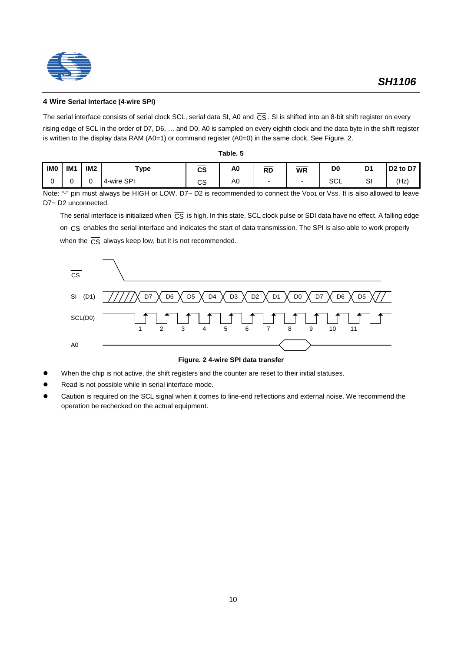



#### **4 Wire Serial Interface (4-wire SPI)**

The serial interface consists of serial clock SCL, serial data SI, A0 and  $\overline{CS}$ . SI is shifted into an 8-bit shift register on every

rising edge of SCL in the order of D7, D6, … and D0. A0 is sampled on every eighth clock and the data byte in the shift register is written to the display data RAM (A0=1) or command register (A0=0) in the same clock. See Figure. 2.

**Table. 5**

| <b>IMO</b> | IM <sub>1</sub> | IM <sub>2</sub> | Type       | ___<br>__<br>CS        | A0 | <b>RD</b> | <b>WR</b> | D <sub>0</sub> | D <sub>1</sub> | D <sub>2</sub> to D <sub>7</sub> |
|------------|-----------------|-----------------|------------|------------------------|----|-----------|-----------|----------------|----------------|----------------------------------|
| ⌒          |                 |                 | 4-wire SPI | ______<br>$\sim$<br>vo | A0 |           |           | $\sim$<br>◡∟   | $\sim$<br>יب   | $Hz$ )                           |

Note: "-" pin must always be HIGH or LOW. D7~ D2 is recommended to connect the VDD1 or VSS. It is also allowed to leave D7~ D2 unconnected.

The serial interface is initialized when  $\overline{CS}$  is high. In this state, SCL clock pulse or SDI data have no effect. A falling edge on  $\overline{CS}$  enables the serial interface and indicates the start of data transmission. The SPI is also able to work properly when the  $\overline{CS}$  always keep low, but it is not recommended.



#### **Figure. 2 4-wire SPI data transfer**

- When the chip is not active, the shift registers and the counter are reset to their initial statuses.
- Read is not possible while in serial interface mode.
- Caution is required on the SCL signal when it comes to line-end reflections and external noise. We recommend the operation be rechecked on the actual equipment.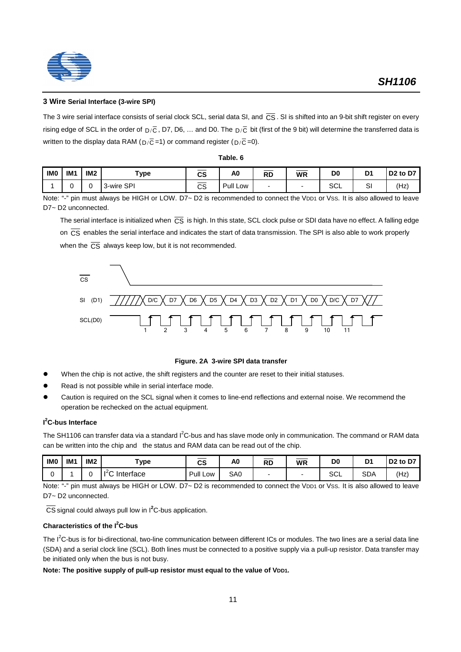

#### **3 Wire Serial Interface (3-wire SPI)**

The 3 wire serial interface consists of serial clock SCL, serial data SI, and  $\overline{CS}$ . SI is shifted into an 9-bit shift register on every rising edge of SCL in the order of  $D/\overline{C}$ , D7, D6, ... and D0. The  $D/\overline{C}$  bit (first of the 9 bit) will determine the transferred data is written to the display data RAM ( $D/\overline{C} = 1$ ) or command register ( $D/\overline{C} = 0$ ).

| IM <sub>0</sub> | IM <sub>1</sub> | IM <sub>2</sub> | Type       | СS      | A0       | <b>D</b> n<br>πU | <b>WR</b> | D <sub>0</sub> | D'     | D <sub>2</sub> to D <sub>7</sub> |
|-----------------|-----------------|-----------------|------------|---------|----------|------------------|-----------|----------------|--------|----------------------------------|
|                 |                 |                 | 3-wire SPI | ົ<br>◡◡ | Pull Low |                  |           | $\sim$<br>◡∟   | c<br>ٮ | Hz <sub>j</sub>                  |

**Table. 6**

Note: "-" pin must always be HIGH or LOW. D7~ D2 is recommended to connect the VDD1 or Vss. It is also allowed to leave D7~ D2 unconnected.

The serial interface is initialized when  $\overline{CS}$  is high. In this state, SCL clock pulse or SDI data have no effect. A falling edge on  $\overline{CS}$  enables the serial interface and indicates the start of data transmission. The SPI is also able to work properly when the  $\overline{CS}$  always keep low, but it is not recommended.



#### **Figure. 2A 3-wire SPI data transfer**

- When the chip is not active, the shift registers and the counter are reset to their initial statuses.
- Read is not possible while in serial interface mode.
- Caution is required on the SCL signal when it comes to line-end reflections and external noise. We recommend the operation be rechecked on the actual equipment.

#### **I 2 C-bus Interface**

The SH1106 can transfer data via a standard I<sup>2</sup>C-bus and has slave mode only in communication. The command or RAM data can be written into the chip and the status and RAM data can be read out of the chip.

| IM <sub>0</sub> | IM <sup>-</sup> | IM <sub>2</sub> | ype             | ___<br>rc<br>uu | A0  | ____<br><b>RD</b> | <b>WR</b> | D <sub>0</sub> | D.<br>◡    | D <sub>2</sub> to D <sub>7</sub> |
|-----------------|-----------------|-----------------|-----------------|-----------------|-----|-------------------|-----------|----------------|------------|----------------------------------|
|                 |                 |                 | 25<br>Interface | Pull I<br>Low   | SA0 |                   |           | $\sim$<br>่ง∪∟ | <b>SDA</b> | ʻHz,                             |

Note: "-" pin must always be HIGH or LOW. D7~ D2 is recommended to connect the VDD1 or Vss. It is also allowed to leave D7~ D2 unconnected.

CS signal could always pull low in I**<sup>2</sup>** C-bus application.

#### **Characteristics of the I<sup>2</sup>C-bus**

The  $I^2$ C-bus is for bi-directional, two-line communication between different ICs or modules. The two lines are a serial data line (SDA) and a serial clock line (SCL). Both lines must be connected to a positive supply via a pull-up resistor. Data transfer may be initiated only when the bus is not busy.

Note: The positive supply of pull-up resistor must equal to the value of VDD1.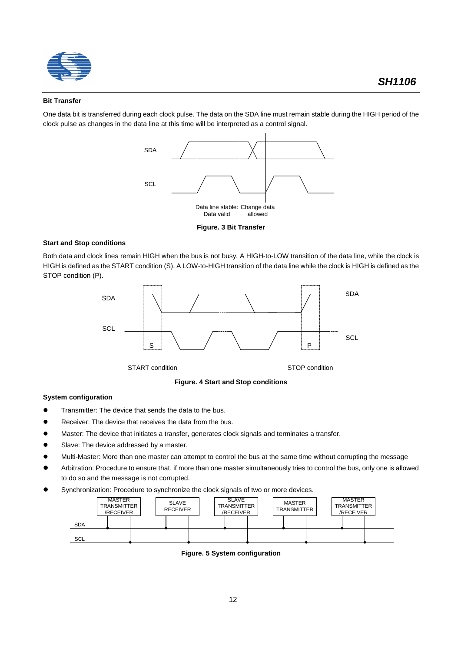

#### **Bit Transfer**

One data bit is transferred during each clock pulse. The data on the SDA line must remain stable during the HIGH period of the clock pulse as changes in the data line at this time will be interpreted as a control signal.



**Figure. 3 Bit Transfer**

#### **Start and Stop conditions**

Both data and clock lines remain HIGH when the bus is not busy. A HIGH-to-LOW transition of the data line, while the clock is HIGH is defined as the START condition (S). A LOW-to-HIGH transition of the data line while the clock is HIGH is defined as the STOP condition (P).



**Figure. 4 Start and Stop conditions**

#### **System configuration**

- **•** Transmitter: The device that sends the data to the bus.
- Receiver: The device that receives the data from the bus.
- l Master: The device that initiates a transfer, generates clock signals and terminates a transfer.
- Slave: The device addressed by a master.
- l Multi-Master: More than one master can attempt to control the bus at the same time without corrupting the message
- l Arbitration: Procedure to ensure that, if more than one master simultaneously tries to control the bus, only one is allowed to do so and the message is not corrupted.
- Synchronization: Procedure to synchronize the clock signals of two or more devices.



**Figure. 5 System configuration**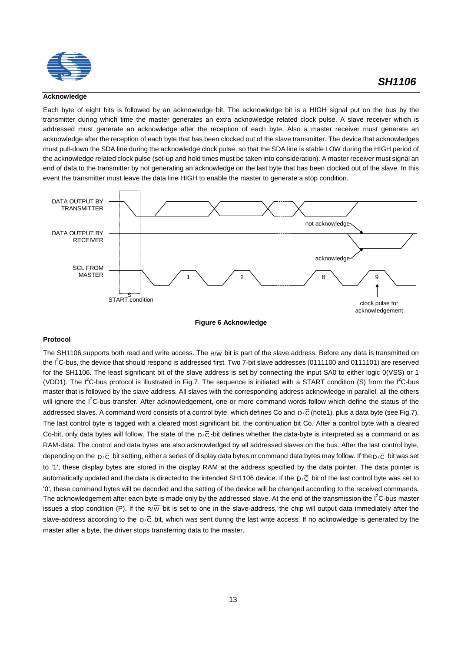

#### **Acknowledge**

Each byte of eight bits is followed by an acknowledge bit. The acknowledge bit is a HIGH signal put on the bus by the transmitter during which time the master generates an extra acknowledge related clock pulse. A slave receiver which is addressed must generate an acknowledge after the reception of each byte. Also a master receiver must generate an acknowledge after the reception of each byte that has been clocked out of the slave transmitter. The device that acknowledges must pull-down the SDA line during the acknowledge clock pulse, so that the SDA line is stable LOW during the HIGH period of the acknowledge related clock pulse (set-up and hold times must be taken into consideration). A master receiver must signal an end of data to the transmitter by not generating an acknowledge on the last byte that has been clocked out of the slave. In this event the transmitter must leave the data line HIGH to enable the master to generate a stop condition.





#### **Protocol**

The SH1106 supports both read and write access. The  $R\overline{W}$  bit is part of the slave address. Before any data is transmitted on the I<sup>2</sup>C-bus, the device that should respond is addressed first. Two 7-bit slave addresses (0111100 and 0111101) are reserved for the SH1106. The least significant bit of the slave address is set by connecting the input SA0 to either logic 0(VSS) or 1 (VDD1). The I<sup>2</sup>C-bus protocol is illustrated in Fig.7. The sequence is initiated with a START condition (S) from the I<sup>2</sup>C-bus master that is followed by the slave address. All slaves with the corresponding address acknowledge in parallel, all the others will ignore the I<sup>2</sup>C-bus transfer. After acknowledgement, one or more command words follow which define the status of the addressed slaves. A command word consists of a control byte, which defines Co and  $D/\overline{C}$  (note1), plus a data byte (see Fig.7). The last control byte is tagged with a cleared most significant bit, the continuation bit Co. After a control byte with a cleared Co-bit, only data bytes will follow. The state of the  $D/\overline{C}$ -bit defines whether the data-byte is interpreted as a command or as RAM-data. The control and data bytes are also acknowledged by all addressed slaves on the bus. After the last control byte, depending on the  $D/\overline{C}$  bit setting, either a series of display data bytes or command data bytes may follow. If the  $D/\overline{C}$  bit was set to '1', these display bytes are stored in the display RAM at the address specified by the data pointer. The data pointer is automatically updated and the data is directed to the intended SH1106 device. If the  $D/\overline{C}$  bit of the last control byte was set to '0', these command bytes will be decoded and the setting of the device will be changed according to the received commands. The acknowledgement after each byte is made only by the addressed slave. At the end of the transmission the  $I^2C$ -bus master issues a stop condition (P). If the  $R/\overline{W}$  bit is set to one in the slave-address, the chip will output data immediately after the slave-address according to the  $D/\overline{C}$  bit, which was sent during the last write access. If no acknowledge is generated by the master after a byte, the driver stops transferring data to the master.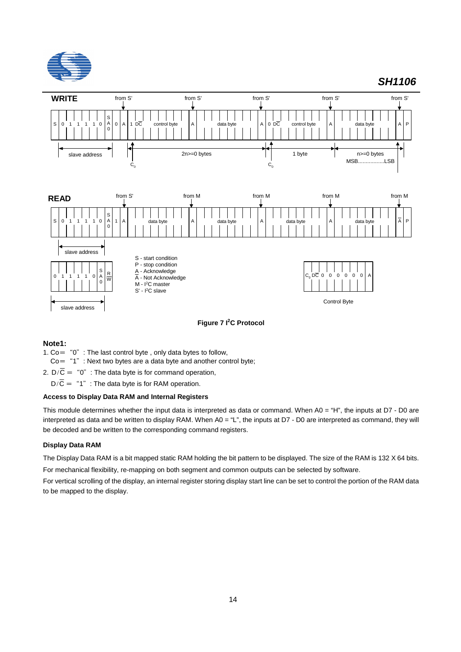



**Figure 7 I<sup>2</sup> C Protocol**

### **Note1:**

- 1.  $Co=$  "0": The last control byte, only data bytes to follow,
- $Co=$  "1": Next two bytes are a data byte and another control byte;
- 2.  $D/\overline{C}$  = "0": The data byte is for command operation,
	- $D/\overline{C}$  = "1": The data byte is for RAM operation.

#### **Access to Display Data RAM and Internal Registers**

This module determines whether the input data is interpreted as data or command. When A0 = "H", the inputs at D7 - D0 are interpreted as data and be written to display RAM. When A0 = "L", the inputs at D7 - D0 are interpreted as command, they will be decoded and be written to the corresponding command registers.

#### **Display Data RAM**

The Display Data RAM is a bit mapped static RAM holding the bit pattern to be displayed. The size of the RAM is 132 X 64 bits.

For mechanical flexibility, re-mapping on both segment and common outputs can be selected by software.

For vertical scrolling of the display, an internal register storing display start line can be set to control the portion of the RAM data to be mapped to the display.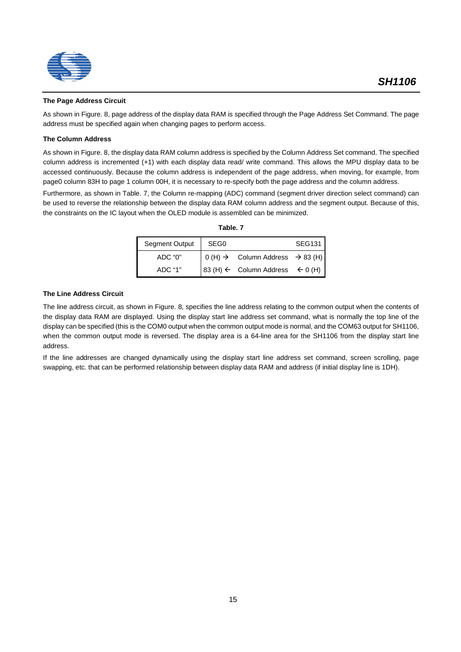



#### **The Page Address Circuit**

As shown in Figure. 8, page address of the display data RAM is specified through the Page Address Set Command. The page address must be specified again when changing pages to perform access.

#### **The Column Address**

As shown in Figure. 8, the display data RAM column address is specified by the Column Address Set command. The specified column address is incremented (+1) with each display data read/ write command. This allows the MPU display data to be accessed continuously. Because the column address is independent of the page address, when moving, for example, from page0 column 83H to page 1 column 00H, it is necessary to re-specify both the page address and the column address.

Furthermore, as shown in Table. 7, the Column re-mapping (ADC) command (segment driver direction select command) can be used to reverse the relationship between the display data RAM column address and the segment output. Because of this, the constraints on the IC layout when the OLED module is assembled can be minimized.

| Segment Output | SEG <sub>0</sub> |                                                        | <b>SEG131</b> |
|----------------|------------------|--------------------------------------------------------|---------------|
| ADC "0"        |                  | $0(H) \rightarrow$ Column Address $\rightarrow$ 83 (H) |               |
| ADC "1"        |                  | $ 83(H) \leftarrow$ Column Address $\leftarrow 0(H)$   |               |

#### **The Line Address Circuit**

The line address circuit, as shown in Figure. 8, specifies the line address relating to the common output when the contents of the display data RAM are displayed. Using the display start line address set command, what is normally the top line of the display can be specified (this is the COM0 output when the common output mode is normal, and the COM63 output for SH1106, when the common output mode is reversed. The display area is a 64-line area for the SH1106 from the display start line address.

If the line addresses are changed dynamically using the display start line address set command, screen scrolling, page swapping, etc. that can be performed relationship between display data RAM and address (if initial display line is 1DH).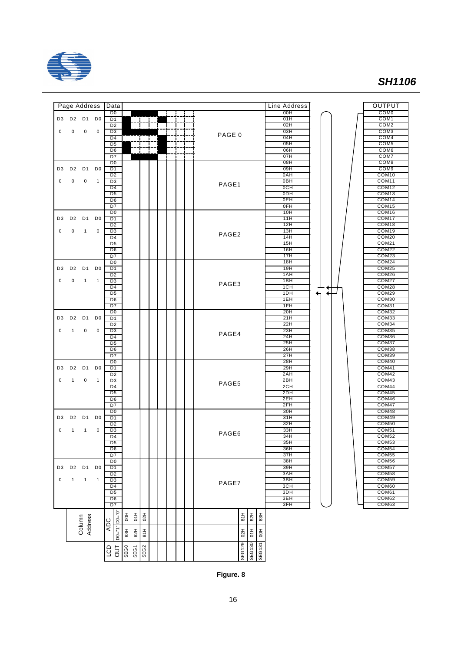



**Figure. 8**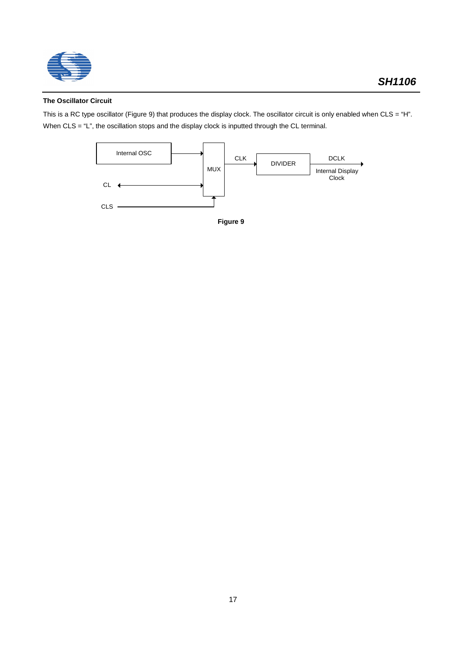

## **The Oscillator Circuit**

This is a RC type oscillator (Figure 9) that produces the display clock. The oscillator circuit is only enabled when CLS = "H". When CLS = "L", the oscillation stops and the display clock is inputted through the CL terminal.



**Figure 9**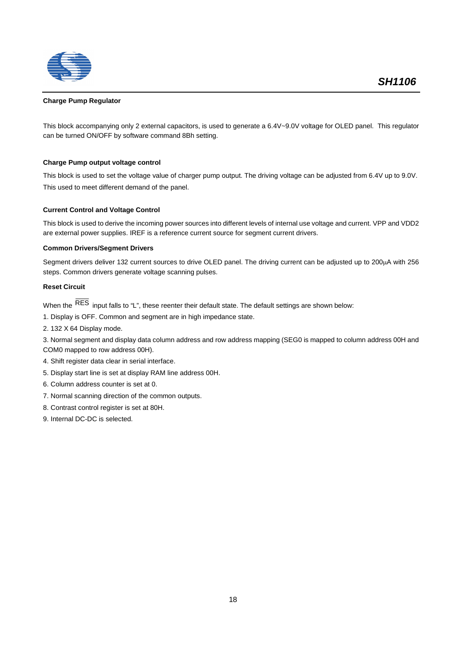

#### **Charge Pump Regulator**

This block accompanying only 2 external capacitors, is used to generate a 6.4V~9.0V voltage for OLED panel. This regulator can be turned ON/OFF by software command 8Bh setting.

#### **Charge Pump output voltage control**

This block is used to set the voltage value of charger pump output. The driving voltage can be adjusted from 6.4V up to 9.0V. This used to meet different demand of the panel.

#### **Current Control and Voltage Control**

This block is used to derive the incoming power sources into different levels of internal use voltage and current. VPP and VDD2 are external power supplies. IREF is a reference current source for segment current drivers.

#### **Common Drivers/Segment Drivers**

Segment drivers deliver 132 current sources to drive OLED panel. The driving current can be adjusted up to 200µA with 256 steps. Common drivers generate voltage scanning pulses.

#### **Reset Circuit**

When the  $\overline{\text{RES}}$  input falls to "L", these reenter their default state. The default settings are shown below:

- 1. Display is OFF. Common and segment are in high impedance state.
- 2. 132 X 64 Display mode.

3. Normal segment and display data column address and row address mapping (SEG0 is mapped to column address 00H and COM0 mapped to row address 00H).

- 4. Shift register data clear in serial interface.
- 5. Display start line is set at display RAM line address 00H.
- 6. Column address counter is set at 0.
- 7. Normal scanning direction of the common outputs.
- 8. Contrast control register is set at 80H.
- 9. Internal DC-DC is selected.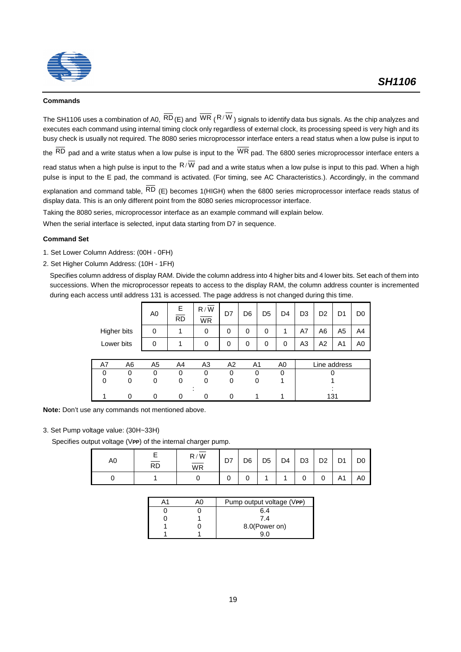

#### **Commands**

The SH1106 uses a combination of A0,  $\overline{RD}$  (E) and  $\overline{WR}$  ( $R/\overline{W}$ ) signals to identify data bus signals. As the chip analyzes and executes each command using internal timing clock only regardless of external clock, its processing speed is very high and its busy check is usually not required. The 8080 series microprocessor interface enters a read status when a low pulse is input to

the  $\overline{\text{RD}}$  pad and a write status when a low pulse is input to the  $\overline{\text{WR}}$  pad. The 6800 series microprocessor interface enters a

read status when a high pulse is input to the  $R/\overline{W}$  pad and a write status when a low pulse is input to this pad. When a high pulse is input to the E pad, the command is activated. (For timing, see AC Characteristics.). Accordingly, in the command

explanation and command table,  $\overline{RD}$  (E) becomes 1(HIGH) when the 6800 series microprocessor interface reads status of display data. This is an only different point from the 8080 series microprocessor interface.

Taking the 8080 series, microprocessor interface as an example command will explain below.

When the serial interface is selected, input data starting from D7 in sequence.

#### **Command Set**

- 1. Set Lower Column Address: (00H 0FH)
- 2. Set Higher Column Address: (10H 1FH)

Specifies column address of display RAM. Divide the column address into 4 higher bits and 4 lower bits. Set each of them into successions. When the microprocessor repeats to access to the display RAM, the column address counter is incremented during each access until address 131 is accessed. The page address is not changed during this time.

|             |    | A <sub>0</sub> | E.<br><b>RD</b> | R/W<br><b>WR</b> | D7             | D <sub>6</sub> | D <sub>5</sub> | D <sub>4</sub> | D <sub>3</sub> | D <sub>2</sub> | D1             | D <sub>0</sub> |
|-------------|----|----------------|-----------------|------------------|----------------|----------------|----------------|----------------|----------------|----------------|----------------|----------------|
| Higher bits |    | 0              |                 | 0                | 0              | $\Omega$       | 0              | 1              | A7             | A6             | A <sub>5</sub> | A4             |
| Lower bits  |    | 0              |                 | 0                | 0              | $\Omega$       | 0              | 0              | A <sub>3</sub> | A2             | A <sub>1</sub> | A <sub>0</sub> |
|             |    |                |                 |                  |                |                |                |                |                |                |                |                |
| A7          | A6 | A <sub>5</sub> | A4              | A <sub>3</sub>   | A <sub>2</sub> | A <sub>1</sub> |                | A <sub>0</sub> |                |                | Line address   |                |
| 0           | 0  | 0              | 0               | 0                | 0              | 0              |                | 0              |                |                |                |                |
| $\Omega$    | 0  | 0              | 0               | 0                | 0              | 0              |                |                |                |                |                |                |
|             |    |                |                 |                  |                |                |                |                |                |                |                |                |

1 0 0 0 0 0 1 1 131

**Note:** Don't use any commands not mentioned above.

#### 3. Set Pump voltage value: (30H~33H)

Specifies output voltage (V**PP**) of the internal charger pump.

| A0 | <b>RD</b> | R/W<br>$\overline{\mathsf{WR}}$ | D7 | D <sub>6</sub> | D <sub>5</sub> | D <sub>4</sub> | D <sub>3</sub> | D <sub>2</sub> | D <sub>1</sub> | D <sub>0</sub> |
|----|-----------|---------------------------------|----|----------------|----------------|----------------|----------------|----------------|----------------|----------------|
|    |           |                                 |    |                |                |                |                | 0              | A1             | A0             |

|  | Pump output voltage (VPP) |
|--|---------------------------|
|  | 6.4                       |
|  | 7.4                       |
|  | 8.0(Power on)             |
|  |                           |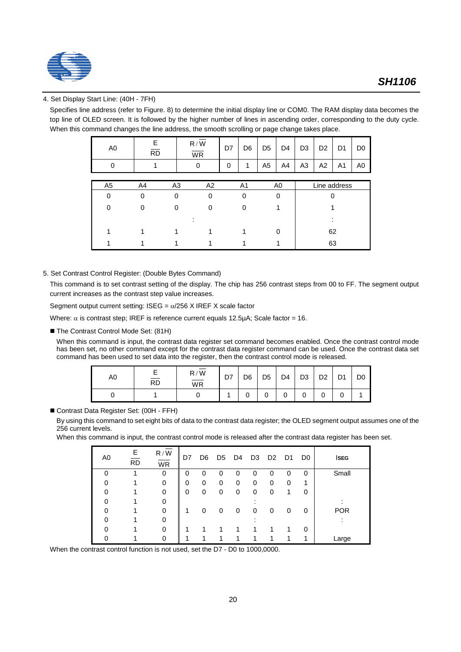

### 4. Set Display Start Line: (40H - 7FH)

Specifies line address (refer to Figure. 8) to determine the initial display line or COM0. The RAM display data becomes the top line of OLED screen. It is followed by the higher number of lines in ascending order, corresponding to the duty cycle. When this command changes the line address, the smooth scrolling or page change takes place.

| A <sub>0</sub> | Е<br>$\overline{RD}$ | R/W<br><b>WR</b>     | D7       | D <sub>6</sub> | D <sub>5</sub> | D <sub>4</sub> | D <sub>3</sub> | D <sub>2</sub> | D <sub>1</sub> | D <sub>0</sub> |
|----------------|----------------------|----------------------|----------|----------------|----------------|----------------|----------------|----------------|----------------|----------------|
| $\Omega$       |                      | 0                    | $\Omega$ | 1              | A <sub>5</sub> | A4             | A <sub>3</sub> | A2             | A1             | A <sub>0</sub> |
|                |                      |                      |          |                |                |                |                |                |                |                |
| A <sub>5</sub> | A4                   | A <sub>3</sub><br>A2 |          | A <sub>1</sub> |                | A <sub>0</sub> |                | Line address   |                |                |
| 0              | 0                    | 0<br>$\Omega$        |          | 0              |                | 0              |                |                |                |                |
| 0              | $\Omega$             | 0<br>O               |          | $\Omega$       |                |                |                |                |                |                |
|                |                      |                      |          |                |                |                |                |                |                |                |
|                |                      |                      |          |                |                | 0              |                | 62             |                |                |
|                |                      |                      |          |                |                |                |                | 63             |                |                |

#### 5. Set Contrast Control Register: (Double Bytes Command)

This command is to set contrast setting of the display. The chip has 256 contrast steps from 00 to FF. The segment output current increases as the contrast step value increases.

Segment output current setting: ISEG =  $\alpha$ /256 X IREF X scale factor

Where:  $\alpha$  is contrast step; IREF is reference current equals 12.5µA; Scale factor = 16.

■ The Contrast Control Mode Set: (81H)

When this command is input, the contrast data register set command becomes enabled. Once the contrast control mode has been set, no other command except for the contrast data register command can be used. Once the contrast data set command has been used to set data into the register, then the contrast control mode is released.

| A0 | <b>RD</b> | R/W<br>$\overline{\mathsf{WR}}$ | D7 | D <sub>6</sub> | D <sub>5</sub> | D <sub>4</sub> | D <sub>3</sub> | D <sub>2</sub> | $\mathsf{D}$<br>ו ש | D <sub>0</sub> |
|----|-----------|---------------------------------|----|----------------|----------------|----------------|----------------|----------------|---------------------|----------------|
|    |           |                                 |    |                | U              | U              |                |                |                     |                |

#### ■ Contrast Data Register Set: (00H - FFH)

By using this command to set eight bits of data to the contrast data register; the OLED segment output assumes one of the 256 current levels.

When this command is input, the contrast control mode is released after the contrast data register has been set.

| A0 | Е<br><b>RD</b> | R/W<br><b>WR</b> | D7 | D <sub>6</sub> | D <sub>5</sub> | D4 | D3 | D <sub>2</sub> | D1 | D <sub>0</sub> | <b>ISEG</b> |
|----|----------------|------------------|----|----------------|----------------|----|----|----------------|----|----------------|-------------|
| 0  | 1              | $\mathbf 0$      | 0  | 0              | 0              | 0  | 0  | 0              | 0  | 0              | Small       |
|    |                | 0                | 0  | 0              | 0              | 0  | 0  | 0              | 0  |                |             |
|    |                | 0                | 0  | 0              | 0              | 0  | 0  | 0              | 1  | 0              |             |
|    |                | 0                |    |                |                |    |    |                |    |                |             |
|    |                | 0                |    | 0              | 0              | 0  | 0  | 0              | 0  | 0              | <b>POR</b>  |
|    |                | 0                |    |                |                |    |    |                |    |                |             |
|    |                | 0                |    |                |                |    |    |                |    | 0              |             |
|    |                | 0                |    |                |                |    |    | 1              |    | 1              | Large       |

When the contrast control function is not used, set the D7 - D0 to 1000,0000.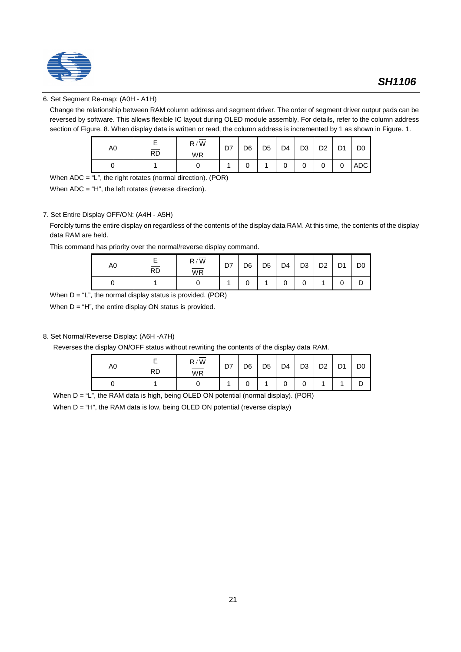

## 6. Set Segment Re-map: (A0H - A1H)

Change the relationship between RAM column address and segment driver. The order of segment driver output pads can be reversed by software. This allows flexible IC layout during OLED module assembly. For details, refer to the column address section of Figure. 8. When display data is written or read, the column address is incremented by 1 as shown in Figure. 1.

| A0 | $\overline{RD}$ | $\mathsf{R} \,/\, \mathsf{W}$<br>$\overline{\mathsf{WR}}$ | D7 | D <sub>6</sub> | D <sub>5</sub> | D <sub>4</sub> | D <sub>3</sub> | D <sub>2</sub> | D <sub>1</sub> | D <sub>0</sub> |
|----|-----------------|-----------------------------------------------------------|----|----------------|----------------|----------------|----------------|----------------|----------------|----------------|
|    |                 |                                                           |    |                |                |                |                |                | 0              | <b>ADC</b>     |

When  $ADC =  $T$ , the right rotates (normal direction). (POR)$ 

When ADC = "H", the left rotates (reverse direction).

#### 7. Set Entire Display OFF/ON: (A4H - A5H)

Forcibly turns the entire display on regardless of the contents of the display data RAM. At this time, the contents of the display data RAM are held.

This command has priority over the normal/reverse display command.

| A0 | <b>RD</b> | $\mathsf{R} \,/\, \mathsf{W}$<br>WR | D7 | D <sub>6</sub> | D <sub>5</sub> | D <sub>4</sub> | D <sub>3</sub> | D <sub>2</sub> | D <sub>1</sub> | D <sub>0</sub> |
|----|-----------|-------------------------------------|----|----------------|----------------|----------------|----------------|----------------|----------------|----------------|
|    |           |                                     |    |                |                |                |                |                |                |                |

When  $D = "L"$ , the normal display status is provided. (POR)

When  $D = "H"$ , the entire display ON status is provided.

### 8. Set Normal/Reverse Display: (A6H -A7H)

Reverses the display ON/OFF status without rewriting the contents of the display data RAM.

| A0 | <b>RD</b> | R/W<br><b>WR</b> | D7 | D <sub>6</sub> | D <sub>5</sub> | D <sub>4</sub> | D <sub>3</sub> | D <sub>2</sub> | D <sub>1</sub> | D <sub>0</sub> |
|----|-----------|------------------|----|----------------|----------------|----------------|----------------|----------------|----------------|----------------|
|    |           |                  |    |                |                |                |                |                |                |                |

When D = "L", the RAM data is high, being OLED ON potential (normal display). (POR)

When D = "H", the RAM data is low, being OLED ON potential (reverse display)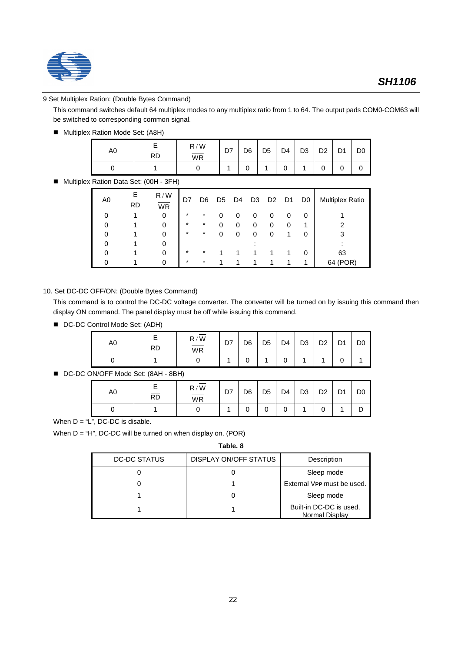

### 9 Set Multiplex Ration: (Double Bytes Command)

This command switches default 64 multiplex modes to any multiplex ratio from 1 to 64. The output pads COM0-COM63 will be switched to corresponding common signal.

■ Multiplex Ration Mode Set: (A8H)

| A0 | <b>RD</b> | R/W<br><b>WR</b> | D7 | D <sub>6</sub> | D <sub>5</sub> | D <sub>4</sub> | D <sub>3</sub> | D <sub>2</sub> | D <sub>1</sub> | D <sub>0</sub> |
|----|-----------|------------------|----|----------------|----------------|----------------|----------------|----------------|----------------|----------------|
|    |           |                  |    |                |                | U              |                |                |                |                |

■ Multiplex Ration Data Set: (00H - 3FH)

| A0 | Е<br><b>RD</b> | R/W<br><b>WR</b> | D7      | D <sub>6</sub> |   | D5 D4 | D3 | D <sub>2</sub> | D1 | D <sub>0</sub> | <b>Multiplex Ratio</b> |
|----|----------------|------------------|---------|----------------|---|-------|----|----------------|----|----------------|------------------------|
|    |                | 0                | $\ast$  | *              | n | O     | O  | 0              | O  | 0              |                        |
|    |                |                  | $\star$ | $\ast$         | 0 | 0     | 0  | 0              |    |                |                        |
|    |                |                  | $\star$ | *              | 0 | 0     | 0  | 0              |    |                |                        |
|    |                |                  |         |                |   |       |    |                |    |                |                        |
|    |                |                  | $\star$ | $\star$        |   |       |    |                |    | 0              | 63                     |
|    |                |                  | $\ast$  | $\star$        |   |       |    |                |    |                | (POR)<br>64            |

#### 10. Set DC-DC OFF/ON: (Double Bytes Command)

This command is to control the DC-DC voltage converter. The converter will be turned on by issuing this command then display ON command. The panel display must be off while issuing this command.

■ DC-DC Control Mode Set: (ADH)

| A0 | <b>RD</b> | R/W<br>--<br>WR | D7 | D <sub>6</sub> | D <sub>5</sub> | D <sub>4</sub> | D <sub>3</sub> | D <sub>2</sub> | D <sub>1</sub> | D <sub>0</sub> |
|----|-----------|-----------------|----|----------------|----------------|----------------|----------------|----------------|----------------|----------------|
|    |           |                 |    |                |                |                |                |                |                |                |

■ DC-DC ON/OFF Mode Set: (8AH - 8BH)

| A0 | <b>RD</b> | R/W<br>$\overline{\mathsf{WR}}$ | D7 | D <sub>6</sub> | D <sub>5</sub> | D <sub>4</sub> | D <sub>3</sub> | D <sub>2</sub> | D <sub>1</sub> | D <sub>0</sub> |
|----|-----------|---------------------------------|----|----------------|----------------|----------------|----------------|----------------|----------------|----------------|
|    |           |                                 |    |                | U              | U              |                |                |                |                |

When  $D = "L", DC-DC$  is disable.

When D = "H", DC-DC will be turned on when display on. (POR)

**Table. 8**

| DC-DC STATUS | DISPLAY ON/OFF STATUS | Description                               |
|--------------|-----------------------|-------------------------------------------|
|              |                       | Sleep mode                                |
|              |                       | External VPP must be used.                |
|              |                       | Sleep mode                                |
|              |                       | Built-in DC-DC is used,<br>Normal Display |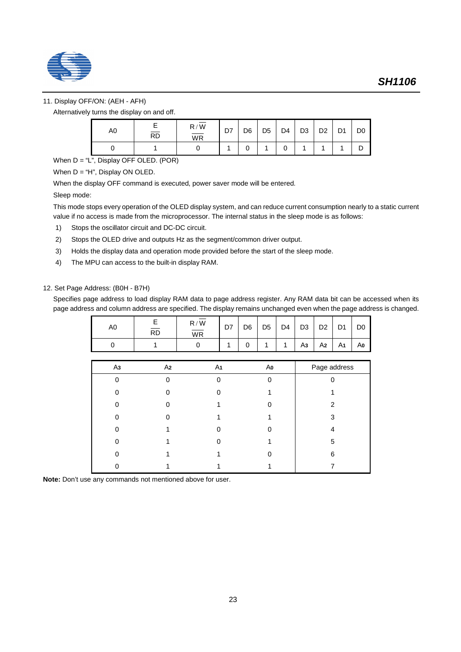

## 11. Display OFF/ON: (AEH - AFH)

Alternatively turns the display on and off.

| A0 | $\overline{RD}$ | R/W<br>$\overline{\mathsf{WR}}$ | D7 | D <sub>6</sub> | D <sub>5</sub> | D <sub>4</sub> | D <sub>3</sub> | D <sub>2</sub> | D <sub>1</sub> | D <sub>0</sub> |
|----|-----------------|---------------------------------|----|----------------|----------------|----------------|----------------|----------------|----------------|----------------|
|    |                 |                                 |    |                |                |                |                |                |                |                |

When  $D = "L"$ , Display OFF OLED. (POR)

When  $D = "H"$ , Display ON OLED.

When the display OFF command is executed, power saver mode will be entered.

Sleep mode:

This mode stops every operation of the OLED display system, and can reduce current consumption nearly to a static current value if no access is made from the microprocessor. The internal status in the sleep mode is as follows:

- 1) Stops the oscillator circuit and DC-DC circuit.
- 2) Stops the OLED drive and outputs Hz as the segment/common driver output.
- 3) Holds the display data and operation mode provided before the start of the sleep mode.
- 4) The MPU can access to the built-in display RAM.

### 12. Set Page Address: (B0H - B7H)

Specifies page address to load display RAM data to page address register. Any RAM data bit can be accessed when its page address and column address are specified. The display remains unchanged even when the page address is changed.

| A0 | <b>RD</b> | R/W<br>WR | D7 | D <sub>6</sub> | D <sub>5</sub> | D <sub>4</sub> | D <sub>3</sub> | D <sub>2</sub> | $\mathsf{D}$<br>◡ | D <sub>0</sub> |
|----|-----------|-----------|----|----------------|----------------|----------------|----------------|----------------|-------------------|----------------|
|    |           |           |    | ບ              |                |                | Аз             | A2             | A1                | Αo             |

| A <sub>3</sub> | A <sub>2</sub> | A <sub>1</sub> | Aο | Page address |
|----------------|----------------|----------------|----|--------------|
|                | ∩              | ∩              |    |              |
|                |                |                |    |              |
|                |                |                |    | 2            |
|                |                |                |    | 3            |
|                |                |                |    |              |
|                |                |                |    | 5            |
|                |                |                |    | 6            |
|                |                |                |    |              |

**Note:** Don't use any commands not mentioned above for user.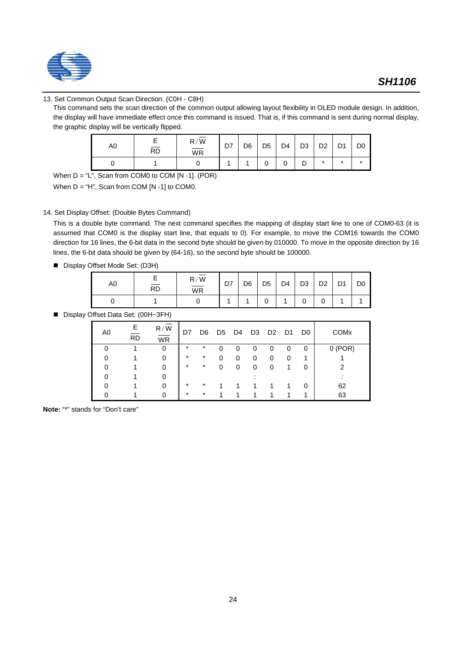

## 13. Set Common Output Scan Direction: (C0H - C8H)

This command sets the scan direction of the common output allowing layout flexibility in OLED module design. In addition, the display will have immediate effect once this command is issued. That is, if this command is sent during normal display, the graphic display will be vertically flipped.

| A0 | $\overline{RD}$ | $R/\overline{W}$<br>$\overline{\mathsf{WR}}$ | D7 | D <sub>6</sub> | D <sub>5</sub> | D <sub>4</sub> | D <sub>3</sub> | D <sub>2</sub> | $\mathsf{D}$<br>וש | D <sub>0</sub> |
|----|-----------------|----------------------------------------------|----|----------------|----------------|----------------|----------------|----------------|--------------------|----------------|
|    |                 |                                              |    |                |                | ັ              | ັ              | $\ast$         | $\ast$             | *              |

When  $D = "L"$ , Scan from COM0 to COM [N -1]. (POR)

When  $D = "H"$ , Scan from COM  $[N -1]$  to COM0.

#### 14. Set Display Offset: (Double Bytes Command)

This is a double byte command. The next command specifies the mapping of display start line to one of COM0-63 (it is assumed that COM0 is the display start line, that equals to 0). For example, to move the COM16 towards the COM0 direction for 16 lines, the 6-bit data in the second byte should be given by 010000. To move in the opposite direction by 16 lines, the 6-bit data should be given by (64-16), so the second byte should be 100000.

■ Display Offset Mode Set: (D3H)

| AU. | <b>RD</b> | R/W<br>___<br>WR | D7 | D <sub>6</sub> | D <sub>5</sub> | D <sub>4</sub> | D <sub>3</sub> | D <sub>2</sub><br>◡▵ | $\mathsf{D}$<br>י | D <sub>0</sub> |
|-----|-----------|------------------|----|----------------|----------------|----------------|----------------|----------------------|-------------------|----------------|
|     |           |                  |    |                |                |                |                |                      |                   |                |

■ Display Offset Data Set: (00H~3FH)

| A0 | Е<br>R <sub>D</sub> | R/W<br><b>WR</b> | D7      | D6      |   |   |   | D5 D4 D3 D2 | D <sub>1</sub> | D <sub>0</sub> | <b>COM<sub>x</sub></b> |
|----|---------------------|------------------|---------|---------|---|---|---|-------------|----------------|----------------|------------------------|
|    |                     | $\Omega$         | $\ast$  | $^\ast$ | 0 | 0 | 0 | 0           | 0              | 0              | 0(POR)                 |
|    |                     | 0                | $\ast$  | $^\ast$ | 0 | 0 | 0 | 0           | 0              |                |                        |
|    |                     |                  | $\star$ | $\ast$  | 0 | 0 | 0 | 0           |                | 0              |                        |
|    |                     |                  |         |         |   |   |   |             |                |                |                        |
|    |                     | ∩                | $\star$ | $^\ast$ |   |   |   |             |                | 0              | 62                     |
|    |                     | 0                | $\ast$  | $\star$ |   |   |   |             |                | 1              | 63                     |

**Note:** "\*" stands for "Don't care"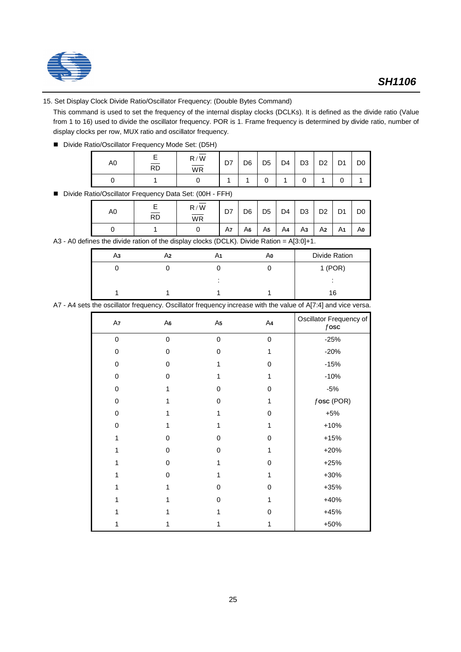

### 15. Set Display Clock Divide Ratio/Oscillator Frequency: (Double Bytes Command)

This command is used to set the frequency of the internal display clocks (DCLKs). It is defined as the divide ratio (Value from 1 to 16) used to divide the oscillator frequency. POR is 1. Frame frequency is determined by divide ratio, number of display clocks per row, MUX ratio and oscillator frequency.

■ Divide Ratio/Oscillator Frequency Mode Set: (D5H)

| A0 | <b>RD</b> | R/W<br>WR | D7 | D <sub>6</sub> | D <sub>5</sub> | D4 | D <sub>3</sub> | no.<br>◡▵ | D <sub>4</sub><br>ັ | D <sub>0</sub> |
|----|-----------|-----------|----|----------------|----------------|----|----------------|-----------|---------------------|----------------|
|    |           |           |    |                | u              |    |                |           |                     |                |

■ Divide Ratio/Oscillator Frequency Data Set: (00H - FFH)

| A0 | <b>RD</b> | R/W<br><b>WR</b> | D7 | D <sub>6</sub> | D <sub>5</sub> | D <sub>4</sub> | D <sub>3</sub> | D <sub>2</sub> | D <sub>1</sub> | D <sub>0</sub> |
|----|-----------|------------------|----|----------------|----------------|----------------|----------------|----------------|----------------|----------------|
|    |           |                  | A7 | A6             | A5             | A4             | Aз             | A2             | A <sub>1</sub> | Ao             |

A3 - A0 defines the divide ration of the display clocks (DCLK). Divide Ration = A[3:0]+1.

| $1$ (POR)<br>16 | Αз | A2 | Αo | Divide Ration |
|-----------------|----|----|----|---------------|
|                 |    |    |    |               |
|                 |    |    |    |               |
|                 |    |    |    |               |

A7 - A4 sets the oscillator frequency. Oscillator frequency increase with the value of A[7:4] and vice versa.

| A7          | A6       | A5          | A4 | Oscillator Frequency of<br>$f$ osc |
|-------------|----------|-------------|----|------------------------------------|
| $\pmb{0}$   | 0        | $\pmb{0}$   | 0  | $-25%$                             |
| $\pmb{0}$   | 0        | 0           | 1  | $-20%$                             |
| 0           | 0        | 1           | 0  | $-15%$                             |
| 0           | 0        | 1           | 1  | $-10%$                             |
| $\mathbf 0$ | 1        | 0           | 0  | $-5%$                              |
| 0           |          | $\mathbf 0$ | 1  | $f$ osc (POR)                      |
| $\mathbf 0$ |          | 1           | 0  | $+5%$                              |
| $\mathbf 0$ | 1        | 1           | 1  | $+10%$                             |
| 1           | $\Omega$ | $\mathbf 0$ | 0  | $+15%$                             |
| 1           | 0        | 0           | 1  | $+20%$                             |
|             | 0        | 1           | 0  | $+25%$                             |
|             | 0        | 1           | 1  | +30%                               |
| 1           | 1        | $\mathbf 0$ | 0  | +35%                               |
|             | 1        | $\mathbf 0$ | 1  | +40%                               |
|             |          | 1           | 0  | $+45%$                             |
|             | 1        | 1           | 1  | +50%                               |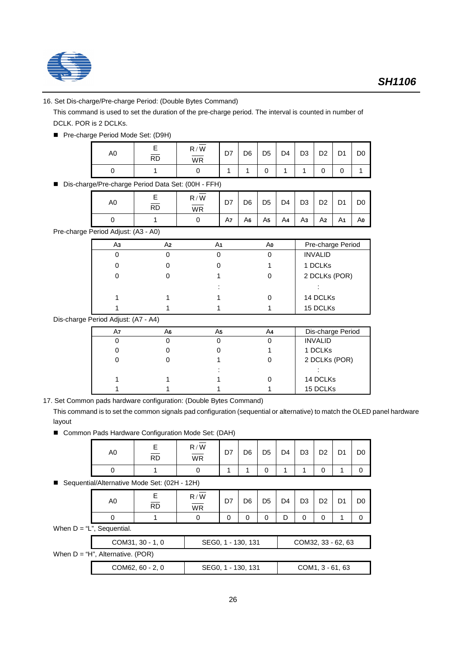

## 16. Set Dis-charge/Pre-charge Period: (Double Bytes Command)

This command is used to set the duration of the pre-charge period. The interval is counted in number of DCLK. POR is 2 DCLKs.

■ Pre-charge Period Mode Set: (D9H)

| A <sub>0</sub> | $\overline{RD}$ | R/W<br>WR | D7 | D <sub>6</sub> | D <sub>5</sub> | D <sub>4</sub> | D <sub>3</sub> | D <sub>2</sub> | D <sub>1</sub> | D <sub>0</sub> |
|----------------|-----------------|-----------|----|----------------|----------------|----------------|----------------|----------------|----------------|----------------|
|                |                 |           |    |                |                |                |                |                |                |                |

■ Dis-charge/Pre-charge Period Data Set: (00H - FFH)

| A0 | <b>RD</b> | R/W<br>WR | וט | D <sub>6</sub> | D <sub>5</sub> | D <sub>4</sub> | D <sub>3</sub> | D <sub>2</sub> | $\mathsf{D}$ | D <sub>0</sub> |
|----|-----------|-----------|----|----------------|----------------|----------------|----------------|----------------|--------------|----------------|
|    |           |           | A7 | A6             | A5             | A4             | Аз             | A2             | A1           | Αo             |

Pre-charge Period Adjust: (A3 - A0)

| Аз | A2 | A1     | Αo | Pre-charge Period |
|----|----|--------|----|-------------------|
|    |    |        |    | <b>INVALID</b>    |
|    |    |        |    | 1 DCLKs           |
|    |    |        |    | 2 DCLKs (POR)     |
|    |    | ٠<br>٠ |    |                   |
|    |    |        |    | 14 DCLKs          |
|    |    |        |    | 15 DCLKs          |

Dis-charge Period Adjust: (A7 - A4)

| A7 | A6 | A5 | A4 | Dis-charge Period |
|----|----|----|----|-------------------|
|    |    |    |    | <b>INVALID</b>    |
|    |    |    |    | 1 DCLKs           |
|    |    |    |    | 2 DCLKs (POR)     |
|    |    |    |    |                   |
|    |    |    |    | 14 DCLKs          |
|    |    |    |    | 15 DCLKs          |

17. Set Common pads hardware configuration: (Double Bytes Command)

This command is to set the common signals pad configuration (sequential or alternative) to match the OLED panel hardware layout

■ Common Pads Hardware Configuration Mode Set: (DAH)

| A0 | RD | R/W<br>$\overline{\mathsf{WR}}$ | D7 | D <sub>6</sub> | D <sub>5</sub> | D <sub>4</sub> | D <sub>3</sub> | D <sub>2</sub> | D <sub>1</sub> | D0 |
|----|----|---------------------------------|----|----------------|----------------|----------------|----------------|----------------|----------------|----|
|    |    |                                 |    |                |                |                |                |                |                |    |

■ Sequential/Alternative Mode Set: (02H - 12H)

| A0                               | Е<br>$\overline{RD}$ | R/W<br>$\overline{\mathsf{WR}}$ | D7                 | D6 | D5 | D4 | D3                 | D <sub>2</sub>     | D1 | D <sub>0</sub> |
|----------------------------------|----------------------|---------------------------------|--------------------|----|----|----|--------------------|--------------------|----|----------------|
|                                  |                      | 0                               | 0                  | 0  | 0  | D  | 0                  | 0                  |    |                |
| When $D = "L",$ Sequential.      |                      |                                 |                    |    |    |    |                    |                    |    |                |
|                                  | COM31, 30 - 1, 0     |                                 | SEG0, 1 - 130, 131 |    |    |    | COM32, 33 - 62, 63 |                    |    |                |
| When D = "H", Alternative. (POR) |                      |                                 |                    |    |    |    |                    |                    |    |                |
|                                  | COM62, 60 - 2, 0     |                                 | SEG0, 1 - 130, 131 |    |    |    |                    | $COM1, 3 - 61, 63$ |    |                |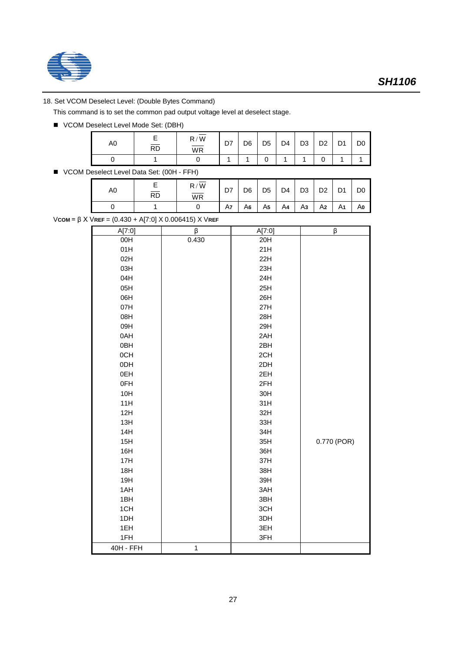

## 18. Set VCOM Deselect Level: (Double Bytes Command)

This command is to set the common pad output voltage level at deselect stage.

■ VCOM Deselect Level Mode Set: (DBH)

| A0 | <b>RD</b> | R/W<br>$\overline{\mathsf{WR}}$ | D7 | D <sub>6</sub> | D <sub>5</sub> | D <sub>4</sub> | D <sub>3</sub> | D <sub>0</sub><br>υz | $\mathsf{D}$<br>י ש | D <sub>0</sub> |
|----|-----------|---------------------------------|----|----------------|----------------|----------------|----------------|----------------------|---------------------|----------------|
|    |           |                                 |    |                |                |                |                |                      |                     |                |

■ VCOM Deselect Level Data Set: (00H - FFH)

| A0 | ⊢<br>$\overline{RD}$ | W<br>R/<br>$\overline{\mathsf{WR}}$ | D7 | D <sub>6</sub> | D <sub>5</sub> | D <sub>4</sub> | D <sub>3</sub> | D <sub>0</sub> | D <sub>1</sub>  | D <sub>0</sub> |
|----|----------------------|-------------------------------------|----|----------------|----------------|----------------|----------------|----------------|-----------------|----------------|
|    |                      |                                     | A7 | A6             | A5             | A4             | Αз             | A2             | Δ1<br><u>лі</u> | Αo             |

V**COM** = β X V**REF** = (0.430 + A[7:0] X 0.006415) X V**REF**

| A[7:0]           | β            | A[7:0] | β           |
|------------------|--------------|--------|-------------|
| 00H              | 0.430        | 20H    |             |
| 01H              |              | 21H    |             |
| 02H              |              | 22H    |             |
| 03H              |              | 23H    |             |
| 04H              |              | 24H    |             |
| 05H              |              | 25H    |             |
| 06H              |              | 26H    |             |
| 07H              |              | 27H    |             |
| 08H              |              | 28H    |             |
| 09H              |              | 29H    |             |
| 0AH              |              | 2AH    |             |
| 0BH              |              | 2BH    |             |
| 0CH              |              | 2CH    |             |
| 0DH              |              | 2DH    |             |
| 0EH              |              | 2EH    |             |
| 0FH              |              | 2FH    |             |
| 10H              |              | 30H    |             |
| 11H              |              | 31H    |             |
| 12H              |              | 32H    |             |
| 13H              |              | 33H    |             |
| 14H              |              | 34H    |             |
| 15H              |              | 35H    | 0.770 (POR) |
| 16H              |              | 36H    |             |
| 17H              |              | 37H    |             |
| 18H              |              | 38H    |             |
| 19H              |              | 39H    |             |
| 1AH              |              | 3AH    |             |
| 1BH              |              | 3BH    |             |
| 1CH              |              | 3CH    |             |
| 1DH              |              | 3DH    |             |
| 1EH              |              | 3EH    |             |
| 1FH              |              | 3FH    |             |
| <b>40H - FFH</b> | $\mathbf{1}$ |        |             |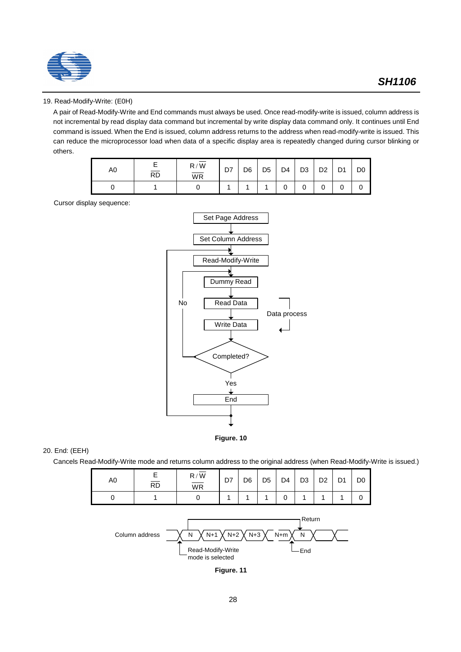

### 19. Read-Modify-Write: (E0H)

A pair of Read-Modify-Write and End commands must always be used. Once read-modify-write is issued, column address is not incremental by read display data command but incremental by write display data command only. It continues until End command is issued. When the End is issued, column address returns to the address when read-modify-write is issued. This can reduce the microprocessor load when data of a specific display area is repeatedly changed during cursor blinking or others.

| A0 | <b>RD</b> | R/W<br>$\overline{\mathsf{WR}}$ | D7 | D <sub>6</sub> | D <sub>5</sub> | D <sub>4</sub> | D <sub>3</sub> | D <sub>2</sub> | D <sub>4</sub><br>יש | D <sub>0</sub> |
|----|-----------|---------------------------------|----|----------------|----------------|----------------|----------------|----------------|----------------------|----------------|
|    |           |                                 |    |                |                | U              |                |                | ັ                    | U              |

Cursor display sequence:





### 20. End: (EEH)

Cancels Read-Modify-Write mode and returns column address to the original address (when Read-Modify-Write is issued.)

| A0 | $\overline{RD}$ | R/W<br><b>WR</b> | D7 | D <sub>6</sub> | D <sub>5</sub> | D <sub>4</sub> | D <sub>3</sub> | D <sub>0</sub><br>υ∠ | D <sub>1</sub><br>יש | D <sub>0</sub> |
|----|-----------------|------------------|----|----------------|----------------|----------------|----------------|----------------------|----------------------|----------------|
|    |                 |                  |    |                |                | ⌒<br>ັ         |                |                      |                      |                |



**Figure. 11**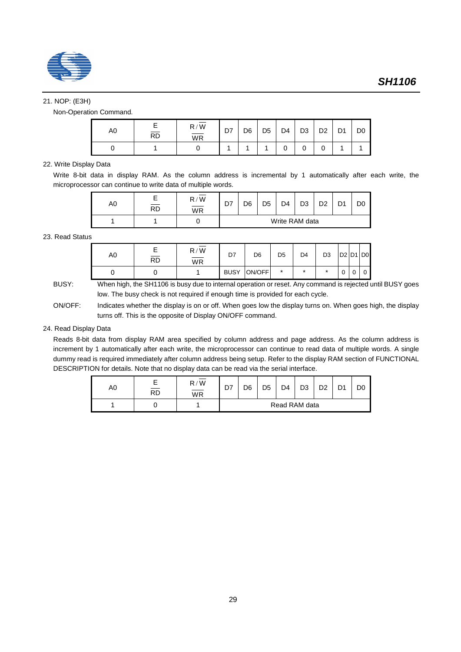

### 21. NOP: (E3H)

Non-Operation Command.

| A0 | <b>RD</b> | R/W<br>$\overline{\overline{\mathsf{w}}$ R | D7 | D <sub>6</sub> | D <sub>5</sub> | D <sub>4</sub> | D <sub>3</sub> | D <sub>2</sub><br>◡▵ | D <sub>4</sub><br>ັ | D <sub>0</sub> |
|----|-----------|--------------------------------------------|----|----------------|----------------|----------------|----------------|----------------------|---------------------|----------------|
|    |           |                                            |    |                |                |                |                |                      |                     |                |

### 22. Write Display Data

Write 8-bit data in display RAM. As the column address is incremental by 1 automatically after each write, the microprocessor can continue to write data of multiple words.

| A0 | <b>RD</b> | R/W<br>WR | D7 | D <sub>6</sub> | D5 | D <sub>4</sub> | D3 | מח | D. | D0 |
|----|-----------|-----------|----|----------------|----|----------------|----|----|----|----|
|    |           |           |    |                |    | Write RAM data |    |    |    |    |

#### 23. Read Status

| A0 | $\overline{RD}$ | R/W<br><b>WR</b> | D7          | D <sub>6</sub> | D <sub>5</sub> | D4 | D3      | $D2$ D <sub>1</sub> D <sub>0</sub> |   |
|----|-----------------|------------------|-------------|----------------|----------------|----|---------|------------------------------------|---|
|    |                 |                  | <b>BUSY</b> | ON/OFF         | ÷              | *  | $\star$ | 0                                  | 0 |

BUSY: When high, the SH1106 is busy due to internal operation or reset. Any command is rejected until BUSY goes low. The busy check is not required if enough time is provided for each cycle.

ON/OFF: Indicates whether the display is on or off. When goes low the display turns on. When goes high, the display turns off. This is the opposite of Display ON/OFF command.

## 24. Read Display Data

Reads 8-bit data from display RAM area specified by column address and page address. As the column address is increment by 1 automatically after each write, the microprocessor can continue to read data of multiple words. A single dummy read is required immediately after column address being setup. Refer to the display RAM section of FUNCTIONAL DESCRIPTION for details. Note that no display data can be read via the serial interface.

| A0 | <b>RD</b> | R/W<br>_<br><b>WR</b> | D7 | D6 | D <sub>5</sub> | D <sub>4</sub> | D3            | D <sub>2</sub> | D. |  |
|----|-----------|-----------------------|----|----|----------------|----------------|---------------|----------------|----|--|
|    |           |                       |    |    |                |                | Read RAM data |                |    |  |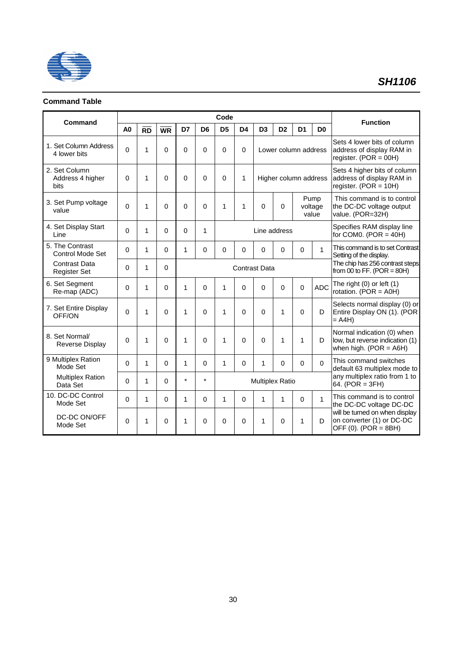

## **Command Table**

| Command                                     | Code           |                 |             |              |                |                |                |                        |                       |                |                          | <b>Function</b>                                                                            |
|---------------------------------------------|----------------|-----------------|-------------|--------------|----------------|----------------|----------------|------------------------|-----------------------|----------------|--------------------------|--------------------------------------------------------------------------------------------|
|                                             | A <sub>0</sub> | $\overline{RD}$ | <b>WR</b>   | D7           | D <sub>6</sub> | D <sub>5</sub> | D <sub>4</sub> | D <sub>3</sub>         | D <sub>2</sub>        | D <sub>1</sub> | D <sub>0</sub>           |                                                                                            |
| 1. Set Column Address<br>4 lower bits       | $\Omega$       | $\mathbf{1}$    | $\Omega$    | $\Omega$     | 0              | $\Omega$       | 0              |                        | Lower column address  |                |                          | Sets 4 lower bits of column<br>address of display RAM in<br>register. $(POR = 00H)$        |
| 2. Set Column<br>Address 4 higher<br>bits   | $\Omega$       | $\mathbf{1}$    | $\Omega$    | $\mathbf 0$  | 0              | $\Omega$       | 1              |                        | Higher column address |                |                          | Sets 4 higher bits of column<br>address of display RAM in<br>register. (POR = $10H$ )      |
| 3. Set Pump voltage<br>value                | $\Omega$       | 1               | $\Omega$    | $\Omega$     | 0              | 1              | 1              | $\Omega$               | 0                     |                | Pump<br>voltage<br>value | This command is to control<br>the DC-DC voltage output<br>value. (POR=32H)                 |
| 4. Set Display Start<br>Line                | $\Omega$       | 1               | $\Omega$    | 0            | 1              |                |                | Line address           |                       |                |                          | Specifies RAM display line<br>for COM0. (POR $=$ 40H)                                      |
| 5. The Contrast<br>Control Mode Set         | $\Omega$       | 1               | $\Omega$    | $\mathbf{1}$ | 0              | $\Omega$       | $\Omega$       | $\Omega$               | $\Omega$              | 0              | $\mathbf{1}$             | This command is to set Contrast<br>Setting of the display.                                 |
| <b>Contrast Data</b><br><b>Register Set</b> | $\Omega$       | 1               | $\mathbf 0$ |              |                |                |                | <b>Contrast Data</b>   |                       |                |                          | The chip has 256 contrast steps<br>from 00 to FF. (POR = $80H$ )                           |
| 6. Set Segment<br>Re-map (ADC)              | $\mathbf 0$    | 1               | $\Omega$    | $\mathbf{1}$ | 0              | 1              | 0              | $\Omega$               | $\Omega$              | $\mathbf 0$    | <b>ADC</b>               | The right $(0)$ or left $(1)$<br>rotation. $(POR = AOH)$                                   |
| 7. Set Entire Display<br>OFF/ON             | $\Omega$       | 1               | $\Omega$    | 1            | 0              | 1              | $\Omega$       | $\Omega$               | 1                     | $\Omega$       | D                        | Selects normal display (0) or<br>Entire Display ON (1). (POR<br>= A4H)                     |
| 8. Set Normal/<br><b>Reverse Display</b>    | $\Omega$       | $\mathbf{1}$    | $\Omega$    | $\mathbf{1}$ | $\Omega$       | 1              | $\Omega$       | $\Omega$               | 1                     | 1              | D                        | Normal indication (0) when<br>low, but reverse indication (1)<br>when high. (POR = $A6H$ ) |
| 9 Multiplex Ration<br>Mode Set              | $\Omega$       | 1               | $\Omega$    | 1            | 0              | 1              | 0              | 1                      | 0                     | $\Omega$       | $\Omega$                 | This command switches<br>default 63 multiplex mode to                                      |
| <b>Multiplex Ration</b><br>Data Set         | 0              | 1               | $\Omega$    | $\star$      | $\star$        |                |                | <b>Multiplex Ratio</b> |                       |                |                          | any multiplex ratio from 1 to<br>64. $(POR = 3FH)$                                         |
| 10. DC-DC Control<br>Mode Set               | 0              | 1               | $\Omega$    | $\mathbf{1}$ | 0              | 1              | 0              | $\mathbf{1}$           | $\mathbf{1}$          | 0              | $\mathbf{1}$             | This command is to control<br>the DC-DC voltage DC-DC                                      |
| DC-DC ON/OFF<br>Mode Set                    | 0              | 1               | $\Omega$    | 1            | 0              | $\Omega$       | 0              | 1                      | 0                     | 1              | D                        | will be turned on when display<br>on converter (1) or DC-DC<br>OFF (0). (POR = 8BH)        |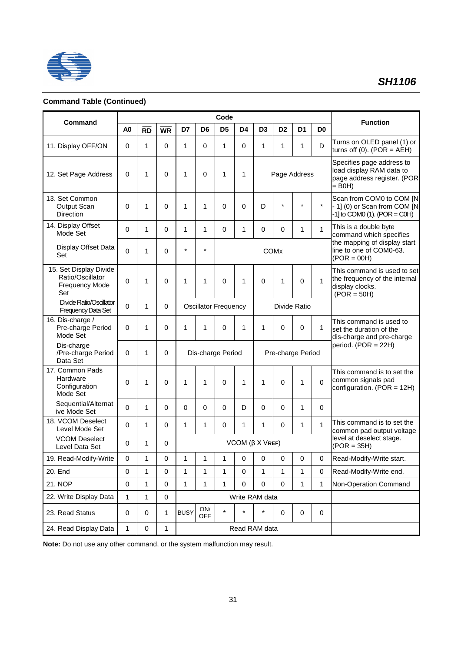

## **Command Table (Continued)**

| Command                                                                    |                |              |             |              |                              | Code                        |                               |                |                        |                                  |             | <b>Function</b>                                                                                  |
|----------------------------------------------------------------------------|----------------|--------------|-------------|--------------|------------------------------|-----------------------------|-------------------------------|----------------|------------------------|----------------------------------|-------------|--------------------------------------------------------------------------------------------------|
|                                                                            | A <sub>0</sub> | <b>RD</b>    | <b>WR</b>   | D7           | D <sub>6</sub>               | D <sub>5</sub>              | D4                            | D <sub>3</sub> | D <sub>2</sub>         | D <sub>1</sub><br>D <sub>0</sub> |             |                                                                                                  |
| 11. Display OFF/ON                                                         | 0              | $\mathbf{1}$ | $\Omega$    | 1            | 0                            | 1                           | $\Omega$                      | 1              | 1                      | 1                                | D           | Turns on OLED panel (1) or<br>turns off $(0)$ . $(POR = AEH)$                                    |
| 12. Set Page Address                                                       | 0              | $\mathbf{1}$ | 0           | 1            | $\Omega$                     | 1                           | 1                             |                |                        | Page Address                     |             | Specifies page address to<br>load display RAM data to<br>page address register. (POR<br>$=$ B0H) |
| 13. Set Common<br>Output Scan<br><b>Direction</b>                          | 0              | 1            | $\Omega$    | 1            | 1                            | 0                           | 0                             | D              | $\star$                | $\star$                          | $\star$     | Scan from COM0 to COM [N<br>- 1] (0) or Scan from COM [N<br>$-1$ ] to COM0 (1). (POR = C0H)      |
| 14. Display Offset<br>Mode Set                                             | 0              | $\mathbf{1}$ | 0           | 1            | 1                            | $\mathbf 0$                 | $\mathbf{1}$                  | $\mathbf 0$    | 0                      | 1                                | 1           | This is a double byte<br>command which specifies                                                 |
| Display Offset Data<br>Set                                                 | 0              | $\mathbf{1}$ | 0           | $\star$      | $\star$                      |                             |                               |                | <b>COM<sub>x</sub></b> |                                  |             | the mapping of display start<br>line to one of COM0-63.<br>$(POR = 00H)$                         |
| 15. Set Display Divide<br>Ratio/Oscillator<br><b>Frequency Mode</b><br>Set | 0              | $\mathbf{1}$ | $\Omega$    | 1            | $\mathbf{1}$                 | 0                           | 1                             | $\Omega$       | 1                      | $\Omega$                         | 1           | This command is used to set<br>the frequency of the internal<br>display clocks.<br>$(POR = 50H)$ |
| <b>Divide Ratio/Oscillator</b><br><b>Frequency Data Set</b>                | 0              | 1            | 0           |              |                              | <b>Oscillator Frequency</b> |                               |                |                        | Divide Ratio                     |             |                                                                                                  |
| 16. Dis-charge /<br>Pre-charge Period<br>Mode Set                          | 0              | 1            | $\Omega$    | 1            | 1                            | 0                           | 1                             | 1              | 0                      | 0                                | 1           | This command is used to<br>set the duration of the<br>dis-charge and pre-charge                  |
| Dis-charge<br>/Pre-charge Period<br>Data Set                               | 0              | 1            | $\Omega$    |              |                              | Dis-charge Period           |                               |                |                        | Pre-charge Period                |             | period. $(POR = 22H)$                                                                            |
| 17. Common Pads<br>Hardware<br>Configuration<br>Mode Set                   | 0              | 1            | $\Omega$    | 1            | $\mathbf{1}$                 | 0                           | 1                             | $\mathbf{1}$   | $\Omega$               | 1                                | $\Omega$    | This command is to set the<br>common signals pad<br>configuration. (POR = 12H)                   |
| Sequential/Alternat<br>ive Mode Set                                        | 0              | 1            | 0           | 0            | 0                            | 0                           | D                             | $\Omega$       | 0                      | 1                                | $\Omega$    |                                                                                                  |
| 18. VCOM Deselect<br>Level Mode Set                                        | 0              | 1            | $\Omega$    | 1            | 1                            | 0                           | 1                             | 1              | 0                      | 1                                | 1           | This command is to set the<br>common pad output voltage                                          |
| <b>VCOM Deselect</b><br>Level Data Set                                     | 0              | $\mathbf{1}$ | 0           |              |                              |                             | $VCOM$ ( $\beta$ $X$ $V$ REF) |                |                        |                                  |             | level at deselect stage.<br>$(POR = 35H)$                                                        |
| 19. Read-Modify-Write                                                      | 0              | 1            | 0           | 1            | 1                            | 1                           | 0                             | 0              | 0                      | 0                                | 0           | Read-Modify-Write start.                                                                         |
| 20. End                                                                    | $\mathbf 0$    | $\mathbf{1}$ | $\mathbf 0$ | 1            | $\mathbf{1}$                 | 1                           | 0                             | 1              | 1                      | $\mathbf{1}$                     | $\mathbf 0$ | Read-Modify-Write end.                                                                           |
| 21. NOP                                                                    | $\pmb{0}$      | 1            | $\pmb{0}$   | $\mathbf{1}$ | $\mathbf{1}$                 | 1                           | 0                             | $\pmb{0}$      | $\mathbf 0$            | $\mathbf{1}$                     | 1           | Non-Operation Command                                                                            |
| 22. Write Display Data                                                     | 1              | $\mathbf{1}$ | $\pmb{0}$   |              |                              |                             | Write RAM data                |                |                        |                                  |             |                                                                                                  |
| 23. Read Status                                                            | $\pmb{0}$      | 0            | 1           | <b>BUSY</b>  | $\mathsf{ON}/$<br><b>OFF</b> | $\star$                     | $\star$                       | $\star$        | 0                      | $\pmb{0}$                        | $\pmb{0}$   |                                                                                                  |
| 24. Read Display Data                                                      | 1              | 0            | 1           |              |                              |                             | Read RAM data                 |                |                        |                                  |             |                                                                                                  |

**Note:** Do not use any other command, or the system malfunction may result.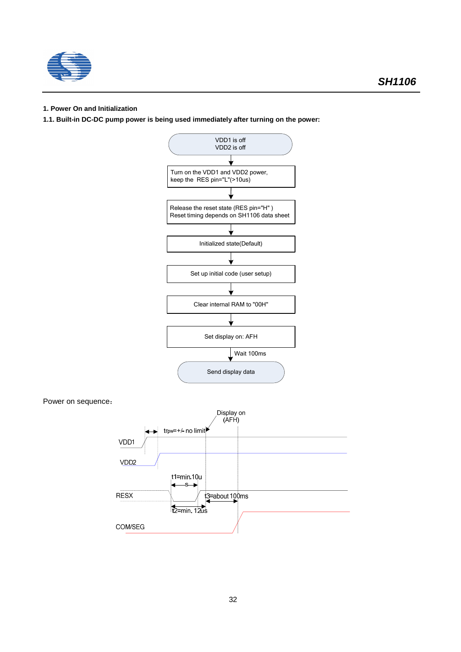

## **1. Power On and Initialization**

**1.1. Built-in DC-DC pump power is being used immediately after turning on the power:**

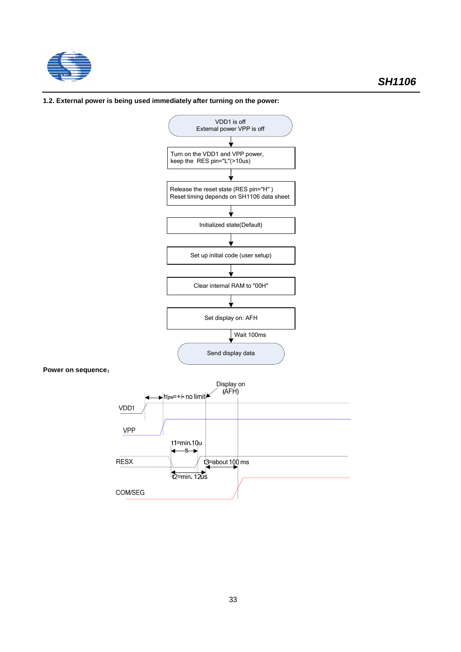

### **1.2. External power is being used immediately after turning on the power:**

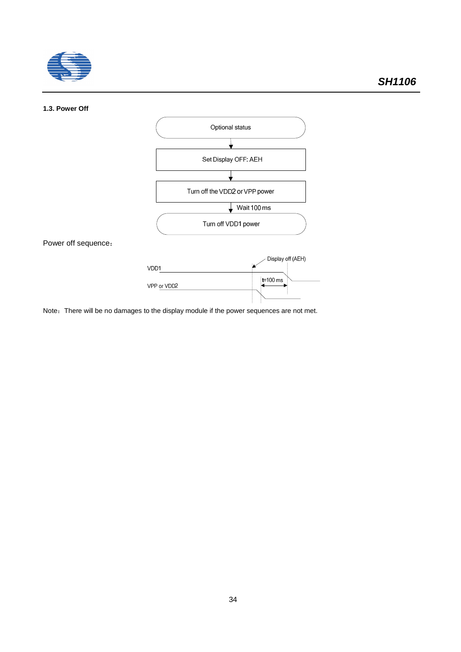

#### **1.3. Power Off**



Note: There will be no damages to the display module if the power sequences are not met.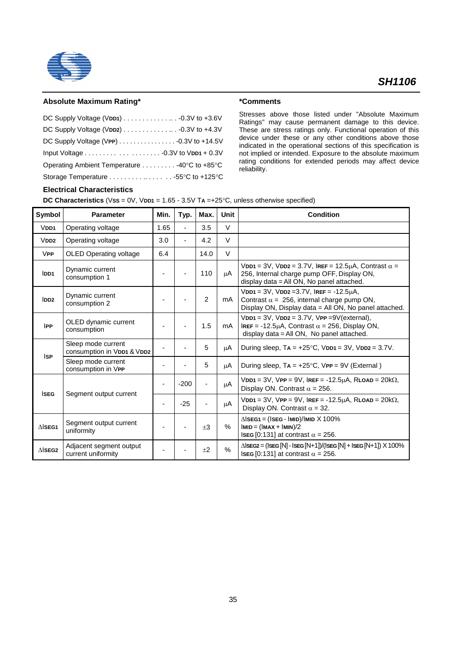

## **Absolute Maximum Rating\***

| DC Supply Voltage (VDD1) $\ldots \ldots \ldots \ldots \ldots$ -0.3V to +3.6V |  |
|------------------------------------------------------------------------------|--|
|                                                                              |  |
|                                                                              |  |
|                                                                              |  |
| Operating Ambient Temperature 40°C to +85°C                                  |  |
| Storage Temperature 55°C to +125°C                                           |  |

#### **\*Comments**

Stresses above those listed under "Absolute Maximum Ratings" may cause permanent damage to this device. These are stress ratings only. Functional operation of this device under these or any other conditions above those indicated in the operational sections of this specification is not implied or intended. Exposure to the absolute maximum rating conditions for extended periods may affect device reliability.

## **Electrical Characteristics**

**DC Characteristics** (V**SS** = 0V, V**DD1** = 1.65 - 3.5V T**A** =+25°C, unless otherwise specified)

| Symbol            | <b>Parameter</b>                                 | Min.                     | Typ.                     | Max.                     | <b>Unit</b> | <b>Condition</b>                                                                                                                                                   |
|-------------------|--------------------------------------------------|--------------------------|--------------------------|--------------------------|-------------|--------------------------------------------------------------------------------------------------------------------------------------------------------------------|
| $V$ DD1           | Operating voltage                                | 1.65                     | ÷.                       | 3.5                      | $\vee$      |                                                                                                                                                                    |
| VDD2              | Operating voltage                                | 3.0                      | $\overline{\phantom{a}}$ | 4.2                      | $\vee$      |                                                                                                                                                                    |
| <b>VPP</b>        | <b>OLED Operating voltage</b>                    | 6.4                      |                          | 14.0                     | $\vee$      |                                                                                                                                                                    |
| IDD1              | Dynamic current<br>consumption 1                 | ٠                        |                          | 110                      | μA          | VDD1 = 3V, VDD2 = 3.7V, IREF = 12.5 $\mu$ A, Contrast $\alpha$ =<br>256, Internal charge pump OFF, Display ON,<br>display data = All ON, No panel attached.        |
| IDD <sub>2</sub>  | Dynamic current<br>consumption 2                 | $\overline{\phantom{a}}$ | $\overline{\phantom{a}}$ | 2                        | mA          | $V$ DD1 = 3V, $V$ DD2 = 3.7V, IREF = -12.5 $\mu$ A,<br>Contrast $\alpha = 256$ , internal charge pump ON,<br>Display ON, Display data = All ON, No panel attached. |
| <b>IPP</b>        | OLED dynamic current<br>consumption              |                          |                          | 1.5                      | mA          | $VDD1 = 3V$ , $VDD2 = 3.7V$ , $VPP = 9V$ (external),<br>IREF = -12.5 $\mu$ A, Contrast $\alpha$ = 256, Display ON,<br>display data = All ON, No panel attached.    |
| <b>ISP</b>        | Sleep mode current<br>consumption in VDD1 & VDD2 |                          |                          | 5                        | μA          | During sleep, $TA = +25^{\circ}C$ , $VDD1 = 3V$ , $VDD2 = 3.7V$ .                                                                                                  |
|                   | Sleep mode current<br>consumption in VPP         | $\blacksquare$           |                          | 5                        | μA          | During sleep, $TA = +25^{\circ}C$ , $VPP = 9V$ (External)                                                                                                          |
| <b>ISEG</b>       | Segment output current                           | $\overline{\phantom{a}}$ | $-200$                   | $\overline{\phantom{a}}$ | μA          | $V$ DD1 = 3V, $V$ PP = 9V, IREF = -12.5µA, RLOAD = 20k $\Omega$ ,<br>Display ON. Contrast $\alpha$ = 256.                                                          |
|                   |                                                  | ٠                        | $-25$                    | $\overline{\phantom{a}}$ | μA          | $V$ DD1 = 3V, $V$ PP = 9V, IREF = -12.5µA, RLOAD = 20k $\Omega$ ,<br>Display ON. Contrast $\alpha$ = 32.                                                           |
| $\triangle$ ISEG1 | Segment output current<br>uniformity             | $\overline{a}$           | ٠                        | $\pm 3$                  | $\%$        | $\triangle$ ISEG1 = (ISEG - IMID)/IMID $X$ 100%<br>$ MID = ( MAX +  MIN)/2$<br>ISEG [0:131] at contrast $\alpha = 256$ .                                           |
| $\triangle$ SEG2  | Adjacent segment output<br>current uniformity    |                          |                          | ±2                       | %           | $\triangle$ ISEG2 = (ISEG [N] - ISEG [N+1])/(ISEG [N] + ISEG [N+1]) $\times$ 100%<br>ISEG [0:131] at contrast $\alpha$ = 256.                                      |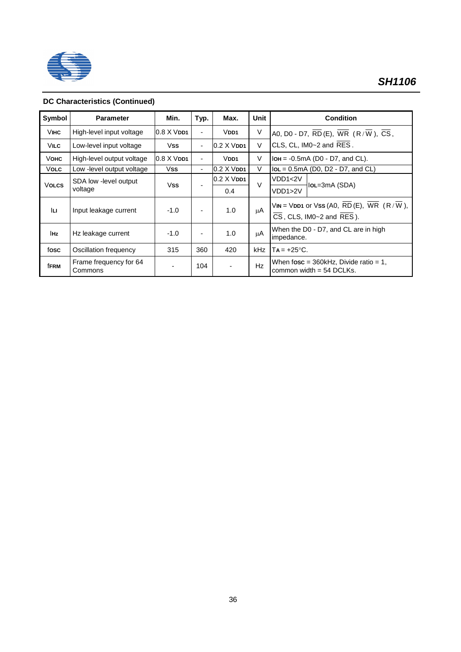

## **DC Characteristics (Continued)**

| Symbol       | <b>Parameter</b>                  | Min.                         | Typ.                     | Max.                         | <b>Unit</b> | <b>Condition</b>                                                                                    |
|--------------|-----------------------------------|------------------------------|--------------------------|------------------------------|-------------|-----------------------------------------------------------------------------------------------------|
| <b>VIHC</b>  | High-level input voltage          | $0.8$ $X$ $V$ <sub>DD1</sub> | $\blacksquare$           | V <sub>DD1</sub>             | V           | A0, D0 - D7, $\overline{RD}$ (E), $\overline{WR}$ (R/W), CS,                                        |
| <b>VILC</b>  | Low-level input voltage           | <b>Vss</b>                   | $\blacksquare$           | $0.2$ X $V$ DD1              | V           | CLS, CL, IM0~2 and RES.                                                                             |
| Vонс         | High-level output voltage         | $0.8$ $X$ $V$ $DD1$          |                          | $V$ DD1                      | V           | $IOH = -0.5mA (D0 - D7, and CL).$                                                                   |
| Volc         | Low -level output voltage         | Vss                          | $\overline{\phantom{a}}$ | $0.2$ $X$ $V$ <sub>DD1</sub> | $\vee$      | $IoL = 0.5mA$ (D0, D2 - D7, and CL)                                                                 |
| <b>VOLCS</b> | SDA low -level output             | Vss                          |                          | $0.2$ $X$ $V$ <sub>DD1</sub> | V           | VDD1<2V<br>$IoL = 3mA$ (SDA)                                                                        |
|              | voltage                           |                              |                          | 0.4                          |             | VDD1>2V                                                                                             |
| lu.          | Input leakage current             | $-1.0$                       | $\overline{\phantom{a}}$ | 1.0                          | μA          | $VIN = VDD1$ or $VSS (AO, RD(E), WR (R/W),$<br>$\overline{CS}$ , CLS, IM0~2 and $\overline{RES}$ ). |
| <b>IHz</b>   | Hz leakage current                | $-1.0$                       | ٠                        | 1.0                          | μA          | When the D0 - D7, and CL are in high<br>impedance.                                                  |
| fosc         | Oscillation frequency             | 315                          | 360                      | 420                          | kHz         | $Ta = +25^{\circ}C$ .                                                                               |
| <b>fFRM</b>  | Frame frequency for 64<br>Commons |                              | 104                      | $\overline{\phantom{a}}$     | Hz          | When $fosc = 360kHz$ , Divide ratio = 1,<br>common width $=$ 54 DCLKs.                              |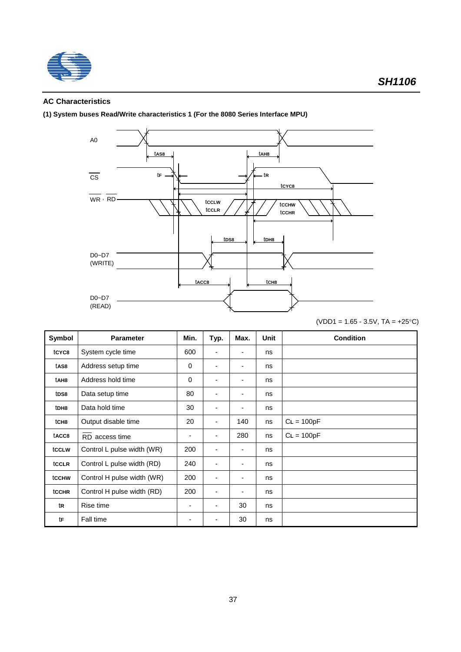

## **AC Characteristics**

**(1) System buses Read/Write characteristics 1 (For the 8080 Series Interface MPU)**



| $(VDD1 = 1.65 - 3.5V, TA = +25°C)$ |  |  |  |  |  |
|------------------------------------|--|--|--|--|--|
|------------------------------------|--|--|--|--|--|

| Symbol           | <b>Parameter</b>           | Min.        | Typ. | Max. | Unit | <b>Condition</b> |
|------------------|----------------------------|-------------|------|------|------|------------------|
| tCYC8            | System cycle time          | 600         | -    |      | ns   |                  |
| tAS8             | Address setup time         | $\mathbf 0$ | ٠    |      | ns   |                  |
| tAH8             | Address hold time          | 0           | -    |      | ns   |                  |
| tDS8             | Data setup time            | 80          | ٠    |      | ns   |                  |
| tDH8             | Data hold time             | 30          | ٠    |      | ns   |                  |
| tCH <sub>8</sub> | Output disable time        | 20          | -    | 140  | ns   | $CL = 100pF$     |
| tACC8            | RD access time             | ٠           | ٠    | 280  | ns   | $CL = 100pF$     |
| tcclw            | Control L pulse width (WR) | 200         | -    |      | ns   |                  |
| tCCLR            | Control L pulse width (RD) | 240         | ٠    |      | ns   |                  |
| tcchw            | Control H pulse width (WR) | 200         | ٠    |      | ns   |                  |
| tcchr            | Control H pulse width (RD) | 200         | ٠    |      | ns   |                  |
| tR               | Rise time                  | ۰           | ٠    | 30   | ns   |                  |
| tF               | Fall time                  |             |      | 30   | ns   |                  |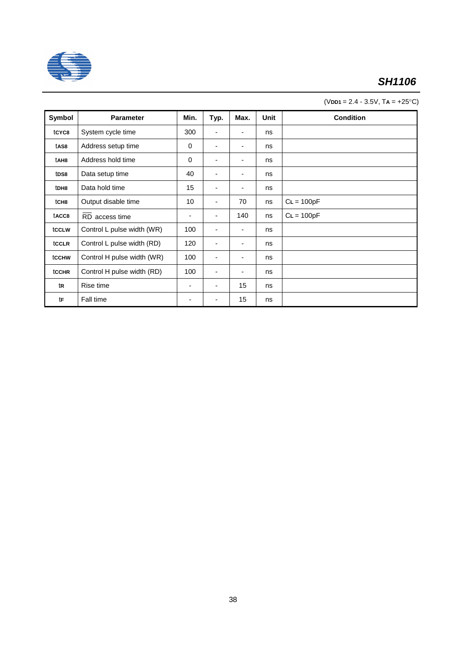

(V**DD1** = 2.4 - 3.5V, T**A** = +25°C)

| Symbol            | <b>Parameter</b>           | Min. | Typ.                     | Max. | <b>Unit</b> | <b>Condition</b> |
|-------------------|----------------------------|------|--------------------------|------|-------------|------------------|
| tCYC8             | System cycle time          | 300  | ۰                        |      | ns          |                  |
| tAS8              | Address setup time         | 0    |                          | ٠    | ns          |                  |
| tAH <sub>8</sub>  | Address hold time          | 0    | ۰                        | ٠    | ns          |                  |
| t <sub>DS8</sub>  | Data setup time            | 40   | $\overline{\phantom{a}}$ | ٠    | ns          |                  |
| tDH8              | Data hold time             | 15   | ٠                        |      | ns          |                  |
| tCH <sub>8</sub>  | Output disable time        | 10   |                          | 70   | ns          | $CL = 100pF$     |
| tacc <sub>8</sub> | RD access time             | ٠    |                          | 140  | ns          | $CL = 100pF$     |
| tccLw             | Control L pulse width (WR) | 100  |                          | ٠    | ns          |                  |
| tCCLR             | Control L pulse width (RD) | 120  | ٠                        | ۰    | ns          |                  |
| tcchw             | Control H pulse width (WR) | 100  |                          | ۰    | ns          |                  |
| <b>tCCHR</b>      | Control H pulse width (RD) | 100  | $\overline{\phantom{a}}$ | ۰    | ns          |                  |
| tR                | Rise time                  | ٠    |                          | 15   | ns          |                  |
| tF                | Fall time                  | ٠    | ٠                        | 15   | ns          |                  |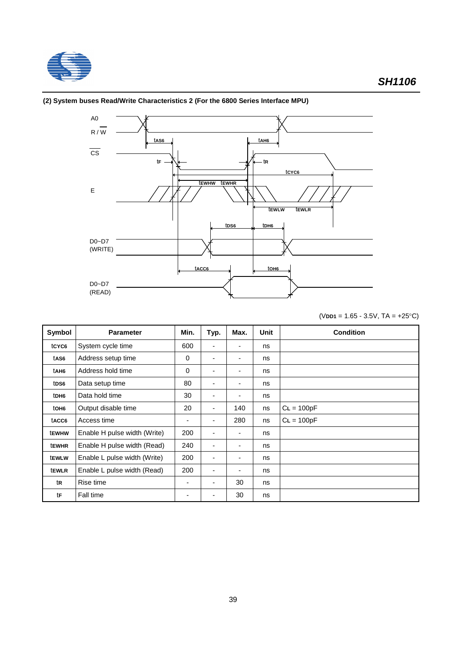



## **(2) System buses Read/Write Characteristics 2 (For the 6800 Series Interface MPU)**

(V**DD1** = 1.65 - 3.5V, TA = +25°C)

| Symbol           | <b>Parameter</b>             | Min.        | Typ.                     | Max. | Unit | <b>Condition</b> |
|------------------|------------------------------|-------------|--------------------------|------|------|------------------|
| tCYC6            | System cycle time            | 600         | $\overline{\phantom{a}}$ | ٠    | ns   |                  |
| tAS6             | Address setup time           | $\mathbf 0$ | ٠                        | ٠    | ns   |                  |
| tAH6             | Address hold time            | $\mathbf 0$ | ٠                        | ٠    | ns   |                  |
| tDS6             | Data setup time              | 80          | ٠                        | ۰    | ns   |                  |
| tDH6             | Data hold time               | 30          | ٠                        | ۰    | ns   |                  |
| tOH <sub>6</sub> | Output disable time          | 20          | ٠                        | 140  | ns   | $CL = 100pF$     |
| tACC6            | Access time                  | ٠           | $\overline{\phantom{a}}$ | 280  | ns   | $CL = 100pF$     |
| <b>tEWHW</b>     | Enable H pulse width (Write) | 200         |                          | ٠    | ns   |                  |
| <b>tEWHR</b>     | Enable H pulse width (Read)  | 240         | ٠                        | ٠    | ns   |                  |
| tewLw            | Enable L pulse width (Write) | 200         | ۰                        | ٠    | ns   |                  |
| tewlr            | Enable L pulse width (Read)  | 200         | ۰                        | ٠    | ns   |                  |
| tR               | Rise time                    | ٠           | ٠                        | 30   | ns   |                  |
| tF               | Fall time                    | ۰           |                          | 30   | ns   |                  |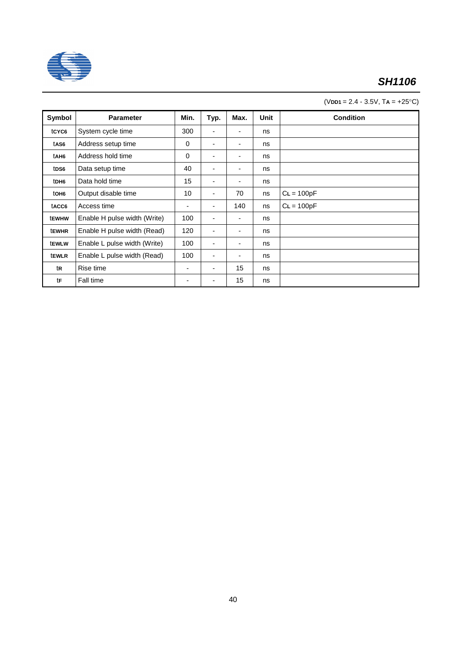

| $(VDD1 = 2.4 - 3.5V, TA = +25°C)$ |  |  |
|-----------------------------------|--|--|
|                                   |  |  |

| Symbol            | <b>Parameter</b>             | Min.        | Typ. | Max. | Unit | <b>Condition</b> |
|-------------------|------------------------------|-------------|------|------|------|------------------|
| tCYC <sub>6</sub> | System cycle time            | 300         | -    | ٠    | ns   |                  |
| tAS6              | Address setup time           | $\mathbf 0$ | ٠    | ٠    | ns   |                  |
| tAH6              | Address hold time            | $\mathbf 0$ | ٠    | ٠    | ns   |                  |
| tDS6              | Data setup time              | 40          | ٠    | ٠    | ns   |                  |
| tDH6              | Data hold time               | 15          | ۰    | ۰    | ns   |                  |
| tOH <sub>6</sub>  | Output disable time          | 10          | ۰    | 70   | ns   | $CL = 100pF$     |
| tACC6             | Access time                  | ٠           | ۰    | 140  | ns   | $CL = 100pF$     |
| tewhw             | Enable H pulse width (Write) | 100         | ۰    | ۰    | ns   |                  |
| tewhr             | Enable H pulse width (Read)  | 120         | ۰.   | ٠    | ns   |                  |
| <b>tEWLW</b>      | Enable L pulse width (Write) | 100         | ٠    | ٠    | ns   |                  |
| tewLR             | Enable L pulse width (Read)  | 100         | ٠    | ۰    | ns   |                  |
| tR                | Rise time                    | ٠           | ۰    | 15   | ns   |                  |
| tF                | Fall time                    | ۰           | ۰    | 15   | ns   |                  |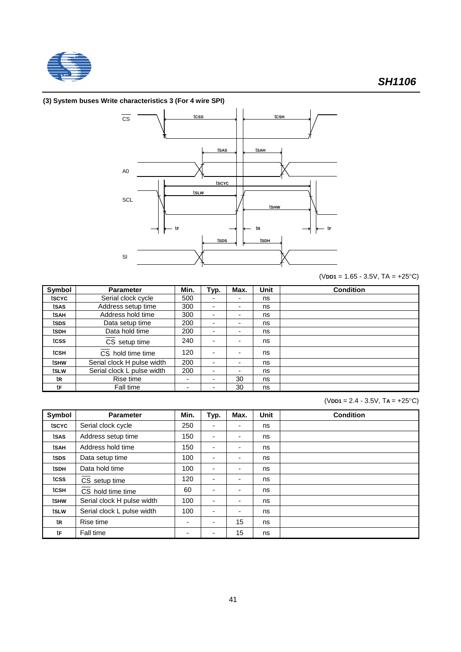

## **(3) System buses Write characteristics 3 (For 4 wire SPI)**



(V**DD1** = 1.65 - 3.5V, TA = +25°C)

| Symbol | <b>Parameter</b>           | Min. | Typ. | Max. | Unit | <b>Condition</b> |
|--------|----------------------------|------|------|------|------|------------------|
| tscyc  | Serial clock cycle         | 500  | -    |      | ns   |                  |
| tsas   | Address setup time         | 300  | -    | ۰    | ns   |                  |
| tsah   | Address hold time          | 300  | -    | ۰    | ns   |                  |
| tsps   | Data setup time            | 200  | -    |      | ns   |                  |
| tsdh   | Data hold time             | 200  | ٠    | ۰    | ns   |                  |
| tcss   | CS setup time              | 240  |      | ۰    | ns   |                  |
| tcsh   | CS hold time time          | 120  |      | ۰    | ns   |                  |
| tshw   | Serial clock H pulse width | 200  | -    | ۰    | ns   |                  |
| tslw   | Serial clock L pulse width | 200  | ٠    | -    | ns   |                  |
| tR     | Rise time                  |      | -    | 30   | ns   |                  |
| tF     | Fall time                  |      |      | 30   | ns   |                  |

(V**DD1** = 2.4 - 3.5V, T**A** = +25°C)

| Symbol | <b>Parameter</b>           | Min. | Typ.           | Max. | <b>Unit</b> | <b>Condition</b> |
|--------|----------------------------|------|----------------|------|-------------|------------------|
| tscyc  | Serial clock cycle         | 250  | ٠              | -    | ns          |                  |
| tsas   | Address setup time         | 150  | $\blacksquare$ | -    | ns          |                  |
| tSAH   | Address hold time          | 150  | ۰              | -    | ns          |                  |
| tsps   | Data setup time            | 100  | ٠              | ٠    | ns          |                  |
| tSDH   | Data hold time             | 100  | ۰              | -    | ns          |                  |
| tcss   | CS setup time              | 120  | -              | -    | ns          |                  |
| tcsh   | CS hold time time          | 60   | -              | ۰    | ns          |                  |
| tshw   | Serial clock H pulse width | 100  | ٠              | ٠    | ns          |                  |
| tslw   | Serial clock L pulse width | 100  | ٠              | ٠    | ns          |                  |
| tR     | Rise time                  |      | ٠              | 15   | ns          |                  |
| tF     | Fall time                  | ٠    | ٠              | 15   | ns          |                  |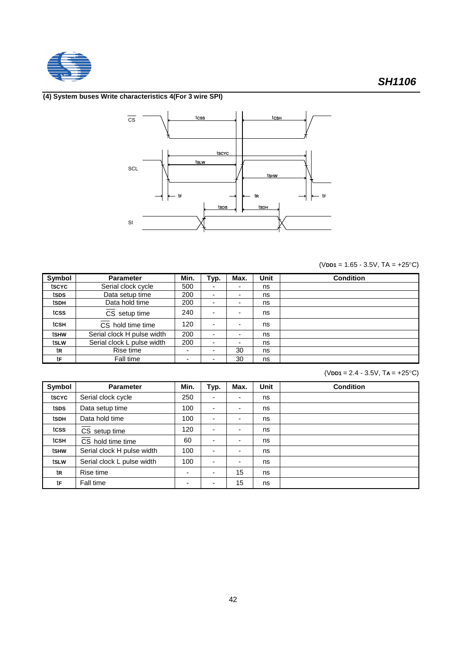

## **(4) System buses Write characteristics 4(For 3 wire SPI)**



(V**DD1** = 1.65 - 3.5V, TA = +25°C)

| <b>Symbol</b> | <b>Parameter</b>           | Min. | Typ. | Max. | <b>Unit</b> | <b>Condition</b> |
|---------------|----------------------------|------|------|------|-------------|------------------|
| tscyc         | Serial clock cycle         | 500  | ٠    |      | ns          |                  |
| tsps          | Data setup time            | 200  | ٠    | -    | ns          |                  |
| tsdh          | Data hold time             | 200  |      |      | ns          |                  |
| tcss          | CS setup time              | 240  |      |      | ns          |                  |
| tcsH          | CS hold time time          | 120  |      | -    | ns          |                  |
| tshw          | Serial clock H pulse width | 200  |      |      | ns          |                  |
| tslw          | Serial clock L pulse width | 200  | ٠    |      | ns          |                  |
| tR            | Rise time                  | ۰    | ٠    | 30   | ns          |                  |
| tF            | Fall time                  | -    |      | 30   | ns          |                  |

<sup>(</sup>V**DD1** = 2.4 - 3.5V, T**A** = +25°C)

| Symbol | <b>Parameter</b>           | Min.                     | Typ.                     | Max.                     | Unit | <b>Condition</b> |
|--------|----------------------------|--------------------------|--------------------------|--------------------------|------|------------------|
| tscyc  | Serial clock cycle         | 250                      |                          | -                        | ns   |                  |
| tsps   | Data setup time            | 100                      |                          | -                        | ns   |                  |
| tSDH   | Data hold time             | 100                      | $\overline{\phantom{a}}$ | -                        | ns   |                  |
| tcss   | $CS$ setup time            | 120                      |                          | -                        | ns   |                  |
| tcsh   | CS hold time time          | 60                       |                          | $\overline{\phantom{0}}$ | ns   |                  |
| tshw   | Serial clock H pulse width | 100                      |                          | ۰                        | ns   |                  |
| tslw   | Serial clock L pulse width | 100                      | $\blacksquare$           | ٠                        | ns   |                  |
| tR     | Rise time                  |                          |                          | 15                       | ns   |                  |
| tF     | Fall time                  | $\overline{\phantom{a}}$ |                          | 15                       | ns   |                  |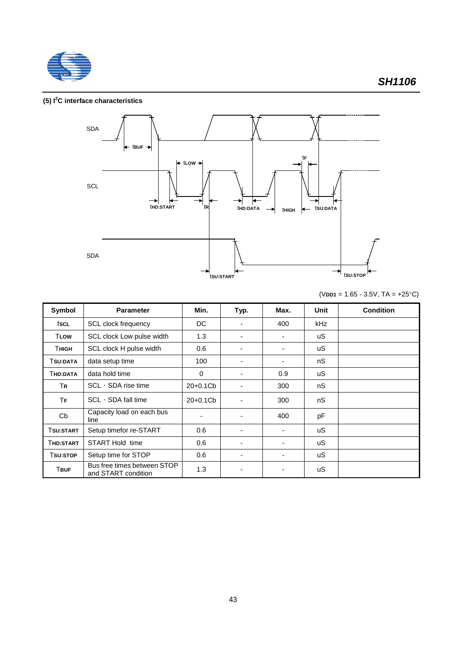

### **(5) I 2 C interface characteristics**



(V**DD1** = 1.65 - 3.5V, TA = +25°C)

| Symbol      | <b>Parameter</b>                                   | Min.        | Typ. | Max. | Unit       | <b>Condition</b> |
|-------------|----------------------------------------------------|-------------|------|------|------------|------------------|
| fscl        | <b>SCL</b> clock frequency                         | DC          |      | 400  | <b>kHz</b> |                  |
| <b>TLOW</b> | SCL clock Low pulse width                          | 1.3         | ٠    | ٠    | uS.        |                  |
| Тнісн       | SCL clock H pulse width                            | 0.6         |      |      | uS         |                  |
| TSU:DATA    | data setup time                                    | 100         |      |      | nS         |                  |
| THD:DATA    | data hold time                                     | $\mathbf 0$ |      | 0.9  | uS.        |                  |
| TR          | $SCL \rightarrow SDA$ rise time                    | 20+0.1Cb    |      | 300  | nS         |                  |
| ТF          | $SCL \rightarrow SDA$ fall time                    | $20+0.1Cb$  |      | 300  | nS         |                  |
| Cb          | Capacity load on each bus<br>line                  |             |      | 400  | pF         |                  |
| Tsu:start   | Setup timefor re-START                             | 0.6         |      |      | uS.        |                  |
| Thd:Start   | START Hold time                                    | 0.6         | ۰    |      | uS.        |                  |
| Tsu:Stop    | Setup time for STOP                                | 0.6         | ۰    |      | uS         |                  |
| <b>TBUF</b> | Bus free times between STOP<br>and START condition | 1.3         | ٠    |      | uS         |                  |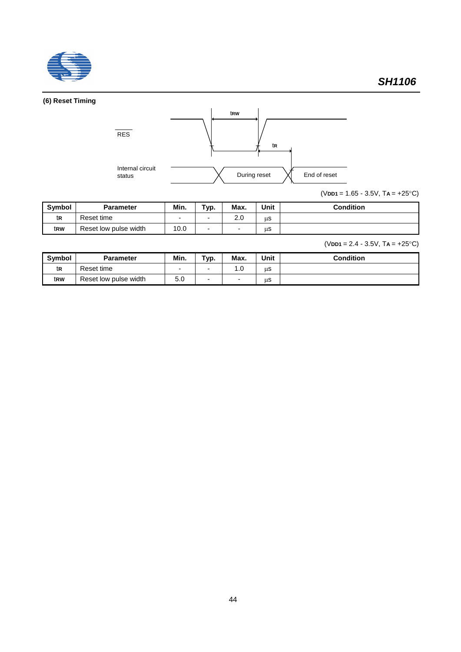

## **(6) Reset Timing**



(V**DD1** = 1.65 - 3.5V, T**A** = +25°C)

| <b>Symbol</b> | <b>Parameter</b>      | Min. | Typ. | Max.       | Unit | <b>Condition</b> |
|---------------|-----------------------|------|------|------------|------|------------------|
| tr            | Reset time            | -    |      | າ ∩<br>2.J | μS   |                  |
| trw           | Reset low pulse width | 10.0 |      | -          | μS   |                  |

(V**DD1** = 2.4 - 3.5V, T**A** = +25°C)

| <b>Symbol</b> | <b>Parameter</b>      | Min.                     | Typ. | Max. | <b>Unit</b> | <b>Condition</b> |
|---------------|-----------------------|--------------------------|------|------|-------------|------------------|
| tr            | Reset time            | $\overline{\phantom{0}}$ | -    | 0. ا | μS          |                  |
| trw           | Reset low pulse width | EΛ<br>ວ.ບ                | -    |      | us          |                  |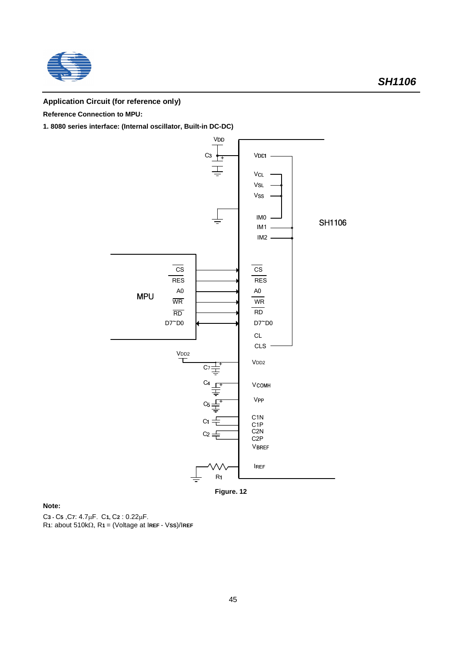

## **Application Circuit (for reference only)**

**Reference Connection to MPU:**

**1. 8080 series interface: (Internal oscillator, Built-in DC-DC)**



**Figure. 12**

**Note:**

C**3 -** C**5** ,C**7**: 4.7mF. C**1,** C**2** : 0.22mF.  $R$ **1**: about 510k $\Omega$ ,  $R$ **1** = (Voltage at IREF - VSS)/IREF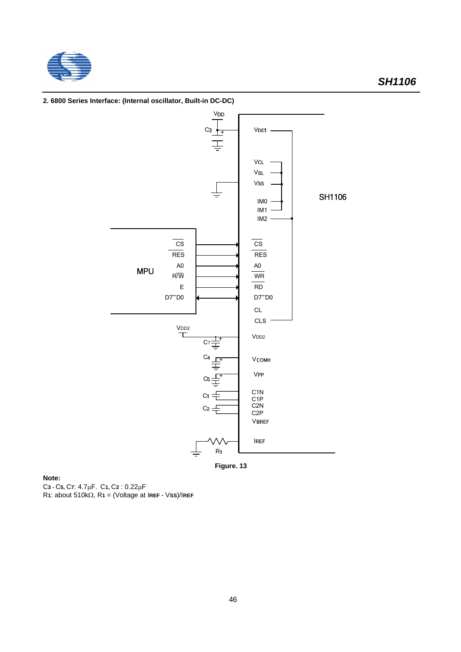



**2. 6800 Series Interface: (Internal oscillator, Built-in DC-DC)**



**Note:** C**3 -** C**5,** C**7**: 4.7mF. C**1,** C**2** : 0.22mF R**1**: about 510kW, R**1** = (Voltage at I**REF** - V**SS**)/I**REF**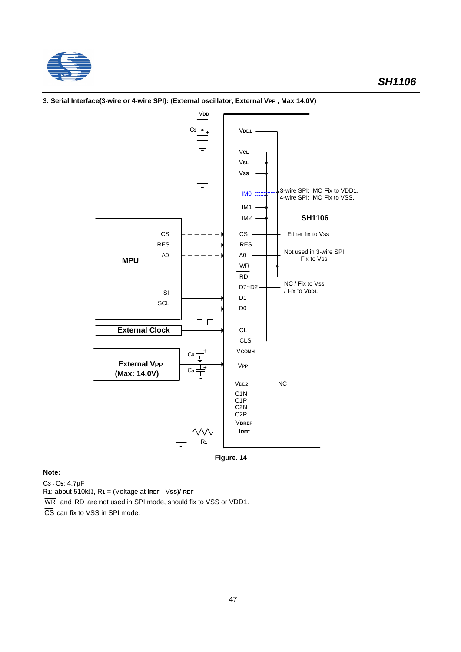

#### V**DD** V**DD1** <sup>+</sup> <sup>C</sup>**<sup>3</sup>** V**CL** V**SL** V**SS** 3-wire SPI: IMO Fix to VDD1.  $\begin{bmatrix} 1 \text{M0} & \dots & 4 \end{bmatrix}$  3-wire SPI: IMO Fix to VDD? IM1 IM2 **SH1106**  $\overline{c}$ s  $\overline{\text{cs}}$ Either fix to Vss RES RES Not used in 3-wire SPI, A0 A0 **MPU** Fix to Vss. WR RD NC / Fix to Vss D7~D2 / Fix to V**DD1**. SI D<sub>1</sub> **SCL** D0 <u>un p</u> **External Clock** CL CLS V**COMH**  $\pm$ C**4 External V<sub>PP</sub>** V**PP**  $\overline{\mathbb{F}}$ C**5 (Max: 14.0V)**  $VDD2$  NC C1N C1P C2N C2P V**BREF** I**REF** R**1**

**3. Serial Interface(3-wire or 4-wire SPI): (External oscillator, External VPP , Max 14.0V)**

**Figure. 14**

## **Note:**

C**3 -** C**5**: 4.7mF

R**1**: about 510kW, R**1** = (Voltage at I**REF** - V**SS**)/I**REF**

 $\overline{WR}$  and  $\overline{RD}$  are not used in SPI mode, should fix to VSS or VDD1.

 $\overline{\text{CS}}$  can fix to VSS in SPI mode.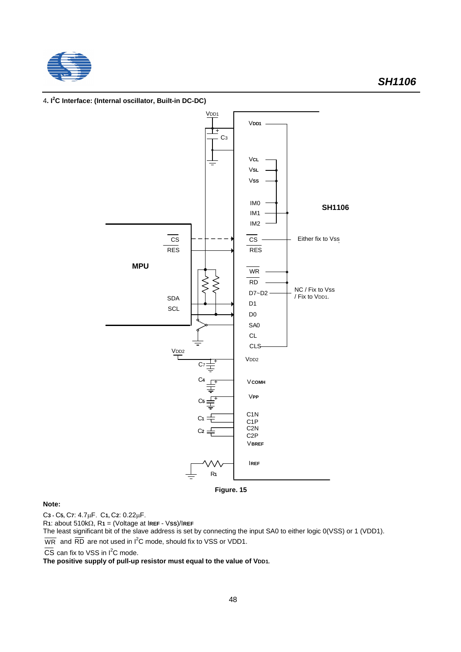



#### 4**. I 2 C Interface: (Internal oscillator, Built-in DC-DC)**

**Figure. 15**

### **Note:**

C**3 -** C**5,** C**7**: 4.7mF. C**1,** C**2**: 0.22mF.

 $R1$ : about 510k $\Omega$ ,  $R1$  = (Voltage at IREF - VSS)/IREF

The least significant bit of the slave address is set by connecting the input SA0 to either logic 0(VSS) or 1 (VDD1).  $\overline{\text{WR}}$  and  $\overline{\text{RD}}$  are not used in I<sup>2</sup>C mode, should fix to VSS or VDD1.

CS can fix to VSS in  $I<sup>2</sup>C$  mode.

The positive supply of pull-up resistor must equal to the value of VDD1.